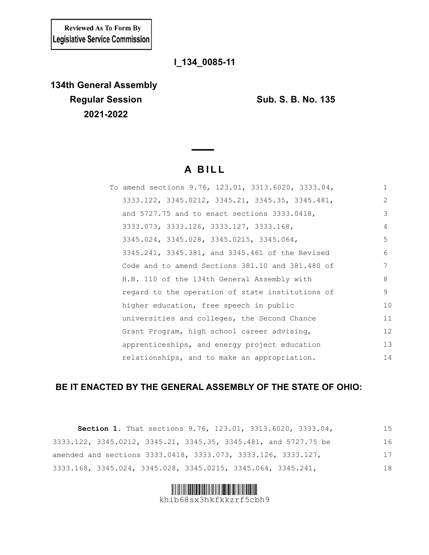**Reviewed As To Form By** Legislative Service Commission

# **l\_134\_0085-11**

**134th General Assembly Regular Session Sub. S. B. No. 135 2021-2022**

# **A BILL**

| To amend sections 9.76, 123.01, 3313.6020, 3333.04, | 1  |
|-----------------------------------------------------|----|
| 3333.122, 3345.0212, 3345.21, 3345.35, 3345.481,    | 2  |
| and 5727.75 and to enact sections 3333.0418,        | 3  |
| 3333.073, 3333.126, 3333.127, 3333.168,             | 4  |
| 3345.024, 3345.028, 3345.0215, 3345.064,            | 5  |
| 3345.241, 3345.381, and 3345.461 of the Revised     | 6  |
| Code and to amend Sections 381.10 and 381.480 of    | 7  |
| H.B. 110 of the 134th General Assembly with         | 8  |
| regard to the operation of state institutions of    | 9  |
| higher education, free speech in public             | 10 |
| universities and colleges, the Second Chance        | 11 |
| Grant Program, high school career advising,         | 12 |
| apprenticeships, and energy project education       | 13 |
| relationships, and to make an appropriation.        | 14 |

# **BE IT ENACTED BY THE GENERAL ASSEMBLY OF THE STATE OF OHIO:**

| Section 1. That sections 9.76, 123.01, 3313.6020, 3333.04,      | 15 |
|-----------------------------------------------------------------|----|
| 3333.122, 3345.0212, 3345.21, 3345.35, 3345.481, and 5727.75 be | 16 |
| amended and sections 3333.0418, 3333.073, 3333.126, 3333.127,   | 17 |
| 3333.168, 3345.024, 3345.028, 3345.0215, 3345.064, 3345.241,    | 18 |

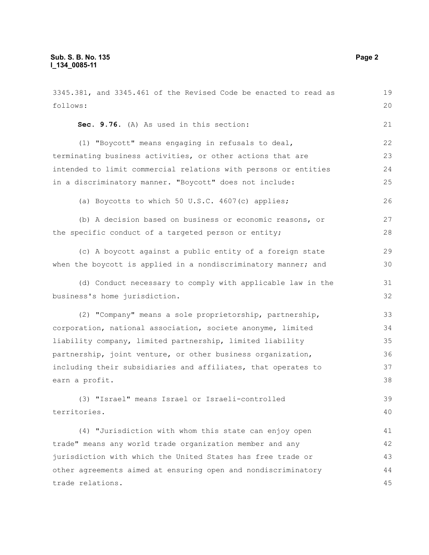3345.381, and 3345.461 of the Revised Code be enacted to read as follows: **Sec. 9.76.** (A) As used in this section: (1) "Boycott" means engaging in refusals to deal, terminating business activities, or other actions that are intended to limit commercial relations with persons or entities in a discriminatory manner. "Boycott" does not include: (a) Boycotts to which 50 U.S.C. 4607(c) applies; (b) A decision based on business or economic reasons, or the specific conduct of a targeted person or entity; (c) A boycott against a public entity of a foreign state when the boycott is applied in a nondiscriminatory manner; and (d) Conduct necessary to comply with applicable law in the business's home jurisdiction. (2) "Company" means a sole proprietorship, partnership, corporation, national association, societe anonyme, limited liability company, limited partnership, limited liability partnership, joint venture, or other business organization, including their subsidiaries and affiliates, that operates to earn a profit. (3) "Israel" means Israel or Israeli-controlled territories. (4) "Jurisdiction with whom this state can enjoy open trade" means any world trade organization member and any jurisdiction with which the United States has free trade or other agreements aimed at ensuring open and nondiscriminatory trade relations. 19 20 21 22 23 24 25 26 27 28 29 30 31 32 33 34 35 36 37 38 39 40 41 42 43 44 45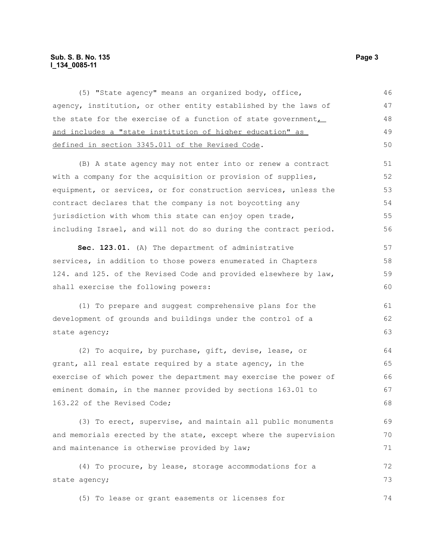# **Sub. S. B. No. 135** Page 3 **l\_134\_0085-11**

(5) "State agency" means an organized body, office, agency, institution, or other entity established by the laws of the state for the exercise of a function of state government, and includes a "state institution of higher education" as defined in section 3345.011 of the Revised Code. 46 47 48 49 50

(B) A state agency may not enter into or renew a contract with a company for the acquisition or provision of supplies, equipment, or services, or for construction services, unless the contract declares that the company is not boycotting any jurisdiction with whom this state can enjoy open trade, including Israel, and will not do so during the contract period. 51 52 53 54 55 56

**Sec. 123.01.** (A) The department of administrative services, in addition to those powers enumerated in Chapters 124. and 125. of the Revised Code and provided elsewhere by law, shall exercise the following powers: 57 58 59 60

(1) To prepare and suggest comprehensive plans for the development of grounds and buildings under the control of a state agency;

(2) To acquire, by purchase, gift, devise, lease, or grant, all real estate required by a state agency, in the exercise of which power the department may exercise the power of eminent domain, in the manner provided by sections 163.01 to 163.22 of the Revised Code; 64 65 66 67 68

(3) To erect, supervise, and maintain all public monuments and memorials erected by the state, except where the supervision and maintenance is otherwise provided by law; 69 70 71

(4) To procure, by lease, storage accommodations for a state agency; 72 73

(5) To lease or grant easements or licenses for 74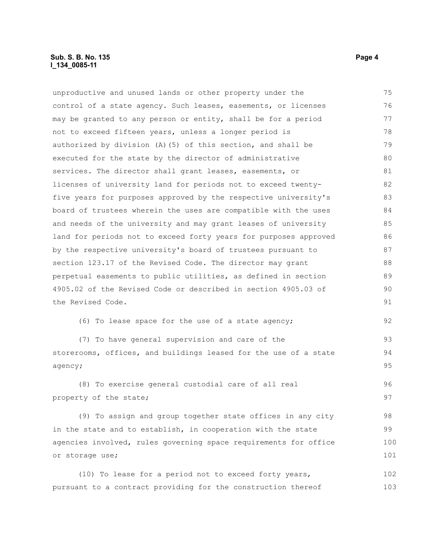# **Sub. S. B. No. 135** Page 4 **l\_134\_0085-11**

unproductive and unused lands or other property under the control of a state agency. Such leases, easements, or licenses may be granted to any person or entity, shall be for a period not to exceed fifteen years, unless a longer period is authorized by division (A)(5) of this section, and shall be executed for the state by the director of administrative services. The director shall grant leases, easements, or licenses of university land for periods not to exceed twentyfive years for purposes approved by the respective university's board of trustees wherein the uses are compatible with the uses and needs of the university and may grant leases of university land for periods not to exceed forty years for purposes approved by the respective university's board of trustees pursuant to section 123.17 of the Revised Code. The director may grant perpetual easements to public utilities, as defined in section 4905.02 of the Revised Code or described in section 4905.03 of the Revised Code. (6) To lease space for the use of a state agency; 75 76 77 78 79 80 81 82 83 84 85 86 87 88 89  $90$ 91 92

(7) To have general supervision and care of the storerooms, offices, and buildings leased for the use of a state agency;

(8) To exercise general custodial care of all real property of the state; 96 97

(9) To assign and group together state offices in any city in the state and to establish, in cooperation with the state agencies involved, rules governing space requirements for office or storage use; 98 99 100 101

(10) To lease for a period not to exceed forty years, pursuant to a contract providing for the construction thereof 102 103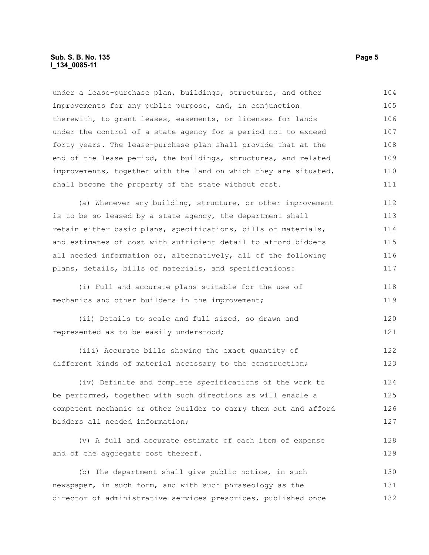# **Sub. S. B. No. 135** Page 5 **l\_134\_0085-11**

under a lease-purchase plan, buildings, structures, and other improvements for any public purpose, and, in conjunction therewith, to grant leases, easements, or licenses for lands under the control of a state agency for a period not to exceed forty years. The lease-purchase plan shall provide that at the end of the lease period, the buildings, structures, and related improvements, together with the land on which they are situated, shall become the property of the state without cost. 104 105 106 107 108 109 110 111

(a) Whenever any building, structure, or other improvement is to be so leased by a state agency, the department shall retain either basic plans, specifications, bills of materials, and estimates of cost with sufficient detail to afford bidders all needed information or, alternatively, all of the following plans, details, bills of materials, and specifications: 112 113 114 115 116 117

(i) Full and accurate plans suitable for the use of mechanics and other builders in the improvement;

(ii) Details to scale and full sized, so drawn and represented as to be easily understood; 120 121

(iii) Accurate bills showing the exact quantity of different kinds of material necessary to the construction; 122 123

(iv) Definite and complete specifications of the work to be performed, together with such directions as will enable a competent mechanic or other builder to carry them out and afford bidders all needed information; 124 125 126 127

(v) A full and accurate estimate of each item of expense and of the aggregate cost thereof. 128 129

(b) The department shall give public notice, in such newspaper, in such form, and with such phraseology as the director of administrative services prescribes, published once 130 131 132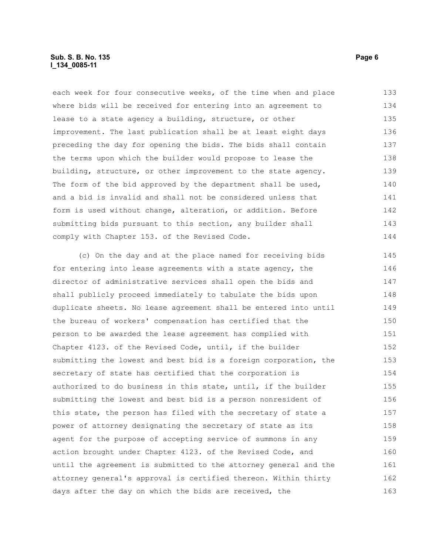# **Sub. S. B. No. 135** Page 6 **l\_134\_0085-11**

each week for four consecutive weeks, of the time when and place where bids will be received for entering into an agreement to lease to a state agency a building, structure, or other improvement. The last publication shall be at least eight days preceding the day for opening the bids. The bids shall contain the terms upon which the builder would propose to lease the building, structure, or other improvement to the state agency. The form of the bid approved by the department shall be used, and a bid is invalid and shall not be considered unless that form is used without change, alteration, or addition. Before submitting bids pursuant to this section, any builder shall comply with Chapter 153. of the Revised Code. 133 134 135 136 137 138 139 140 141 142 143 144

(c) On the day and at the place named for receiving bids for entering into lease agreements with a state agency, the director of administrative services shall open the bids and shall publicly proceed immediately to tabulate the bids upon duplicate sheets. No lease agreement shall be entered into until the bureau of workers' compensation has certified that the person to be awarded the lease agreement has complied with Chapter 4123. of the Revised Code, until, if the builder submitting the lowest and best bid is a foreign corporation, the secretary of state has certified that the corporation is authorized to do business in this state, until, if the builder submitting the lowest and best bid is a person nonresident of this state, the person has filed with the secretary of state a power of attorney designating the secretary of state as its agent for the purpose of accepting service of summons in any action brought under Chapter 4123. of the Revised Code, and until the agreement is submitted to the attorney general and the attorney general's approval is certified thereon. Within thirty days after the day on which the bids are received, the 145 146 147 148 149 150 151 152 153 154 155 156 157 158 159 160 161 162 163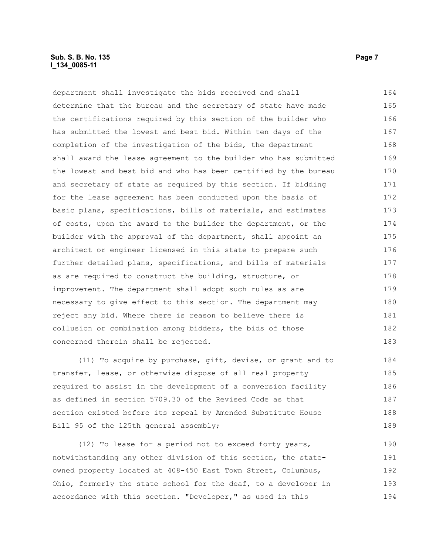# **Sub. S. B. No. 135** Page 7 **l\_134\_0085-11**

department shall investigate the bids received and shall determine that the bureau and the secretary of state have made the certifications required by this section of the builder who has submitted the lowest and best bid. Within ten days of the completion of the investigation of the bids, the department shall award the lease agreement to the builder who has submitted the lowest and best bid and who has been certified by the bureau and secretary of state as required by this section. If bidding for the lease agreement has been conducted upon the basis of basic plans, specifications, bills of materials, and estimates of costs, upon the award to the builder the department, or the builder with the approval of the department, shall appoint an architect or engineer licensed in this state to prepare such further detailed plans, specifications, and bills of materials as are required to construct the building, structure, or improvement. The department shall adopt such rules as are necessary to give effect to this section. The department may reject any bid. Where there is reason to believe there is collusion or combination among bidders, the bids of those concerned therein shall be rejected. 164 165 166 167 168 169 170 171 172 173 174 175 176 177 178 179 180 181 182 183

(11) To acquire by purchase, gift, devise, or grant and to transfer, lease, or otherwise dispose of all real property required to assist in the development of a conversion facility as defined in section 5709.30 of the Revised Code as that section existed before its repeal by Amended Substitute House Bill 95 of the 125th general assembly; 184 185 186 187 188 189

(12) To lease for a period not to exceed forty years, notwithstanding any other division of this section, the stateowned property located at 408-450 East Town Street, Columbus, Ohio, formerly the state school for the deaf, to a developer in accordance with this section. "Developer," as used in this 190 191 192 193 194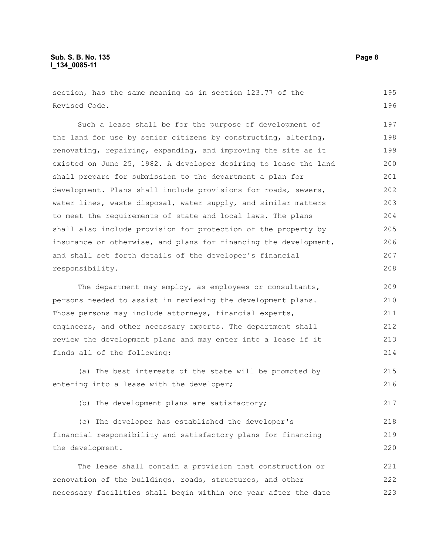# **Sub. S. B. No. 135 Page 8 l\_134\_0085-11**

section, has the same meaning as in section 123.77 of the Revised Code. 195 196

Such a lease shall be for the purpose of development of the land for use by senior citizens by constructing, altering, renovating, repairing, expanding, and improving the site as it existed on June 25, 1982. A developer desiring to lease the land shall prepare for submission to the department a plan for development. Plans shall include provisions for roads, sewers, water lines, waste disposal, water supply, and similar matters to meet the requirements of state and local laws. The plans shall also include provision for protection of the property by insurance or otherwise, and plans for financing the development, and shall set forth details of the developer's financial responsibility. 197 198 199 200 201 202 203 204 205 206 207 208

The department may employ, as employees or consultants, persons needed to assist in reviewing the development plans. Those persons may include attorneys, financial experts, engineers, and other necessary experts. The department shall review the development plans and may enter into a lease if it finds all of the following: 209 210 211 212 213 214

(a) The best interests of the state will be promoted by entering into a lease with the developer; 215 216

(b) The development plans are satisfactory; 217

(c) The developer has established the developer's financial responsibility and satisfactory plans for financing the development. 218 219 220

The lease shall contain a provision that construction or renovation of the buildings, roads, structures, and other necessary facilities shall begin within one year after the date 221 222 223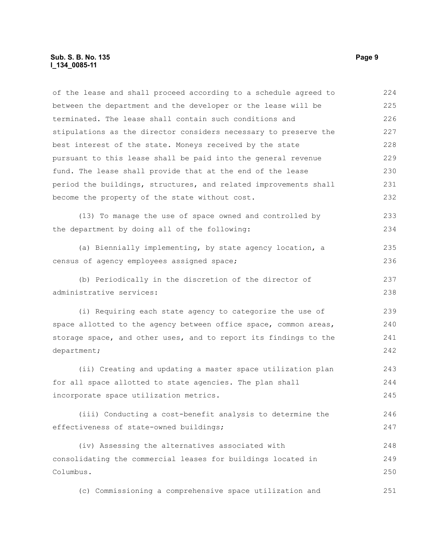# **Sub. S. B. No. 135** Page 9 **l\_134\_0085-11**

of the lease and shall proceed according to a schedule agreed to between the department and the developer or the lease will be terminated. The lease shall contain such conditions and stipulations as the director considers necessary to preserve the best interest of the state. Moneys received by the state pursuant to this lease shall be paid into the general revenue fund. The lease shall provide that at the end of the lease period the buildings, structures, and related improvements shall become the property of the state without cost. 224 225 226 227 228 229 230 231 232

(13) To manage the use of space owned and controlled by the department by doing all of the following: 233 234

(a) Biennially implementing, by state agency location, a census of agency employees assigned space; 235 236

(b) Periodically in the discretion of the director of administrative services:

(i) Requiring each state agency to categorize the use of space allotted to the agency between office space, common areas, storage space, and other uses, and to report its findings to the department; 239 240 241 242

(ii) Creating and updating a master space utilization plan for all space allotted to state agencies. The plan shall incorporate space utilization metrics. 243 244 245

(iii) Conducting a cost-benefit analysis to determine the effectiveness of state-owned buildings; 246 247

(iv) Assessing the alternatives associated with consolidating the commercial leases for buildings located in Columbus. 248 249 250

(c) Commissioning a comprehensive space utilization and 251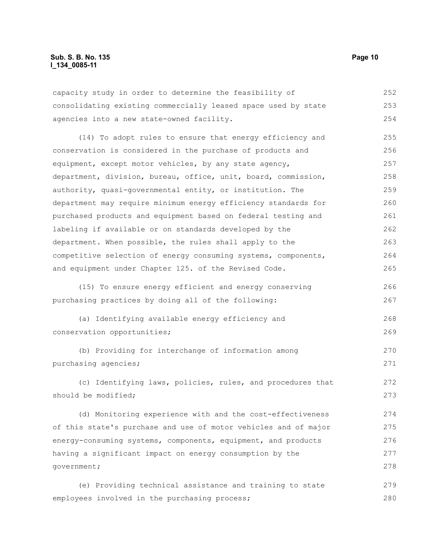# **Sub. S. B. No. 135 Page 10 l\_134\_0085-11**

capacity study in order to determine the feasibility of consolidating existing commercially leased space used by state agencies into a new state-owned facility. 252 253 254

(14) To adopt rules to ensure that energy efficiency and conservation is considered in the purchase of products and equipment, except motor vehicles, by any state agency, department, division, bureau, office, unit, board, commission, authority, quasi-governmental entity, or institution. The department may require minimum energy efficiency standards for purchased products and equipment based on federal testing and labeling if available or on standards developed by the department. When possible, the rules shall apply to the competitive selection of energy consuming systems, components, and equipment under Chapter 125. of the Revised Code. 255 256 257 258 259 260 261 262 263 264 265

(15) To ensure energy efficient and energy conserving purchasing practices by doing all of the following:

- (a) Identifying available energy efficiency and conservation opportunities; 268 269
- (b) Providing for interchange of information among purchasing agencies; 270 271

(c) Identifying laws, policies, rules, and procedures that should be modified; 272 273

(d) Monitoring experience with and the cost-effectiveness of this state's purchase and use of motor vehicles and of major energy-consuming systems, components, equipment, and products having a significant impact on energy consumption by the government; 274 275 276 277 278

(e) Providing technical assistance and training to state employees involved in the purchasing process; 279 280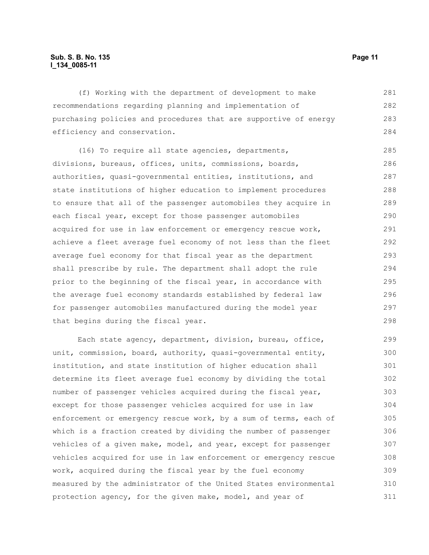# **Sub. S. B. No. 135 Page 11 l\_134\_0085-11**

(f) Working with the department of development to make recommendations regarding planning and implementation of purchasing policies and procedures that are supportive of energy efficiency and conservation. 281 282 283 284

(16) To require all state agencies, departments, divisions, bureaus, offices, units, commissions, boards, authorities, quasi-governmental entities, institutions, and state institutions of higher education to implement procedures to ensure that all of the passenger automobiles they acquire in each fiscal year, except for those passenger automobiles acquired for use in law enforcement or emergency rescue work, achieve a fleet average fuel economy of not less than the fleet average fuel economy for that fiscal year as the department shall prescribe by rule. The department shall adopt the rule prior to the beginning of the fiscal year, in accordance with the average fuel economy standards established by federal law for passenger automobiles manufactured during the model year that begins during the fiscal year. 285 286 287 288 289 290 291 292 293 294 295 296 297 298

Each state agency, department, division, bureau, office, unit, commission, board, authority, quasi-governmental entity, institution, and state institution of higher education shall determine its fleet average fuel economy by dividing the total number of passenger vehicles acquired during the fiscal year, except for those passenger vehicles acquired for use in law enforcement or emergency rescue work, by a sum of terms, each of which is a fraction created by dividing the number of passenger vehicles of a given make, model, and year, except for passenger vehicles acquired for use in law enforcement or emergency rescue work, acquired during the fiscal year by the fuel economy measured by the administrator of the United States environmental protection agency, for the given make, model, and year of 299 300 301 302 303 304 305 306 307 308 309 310 311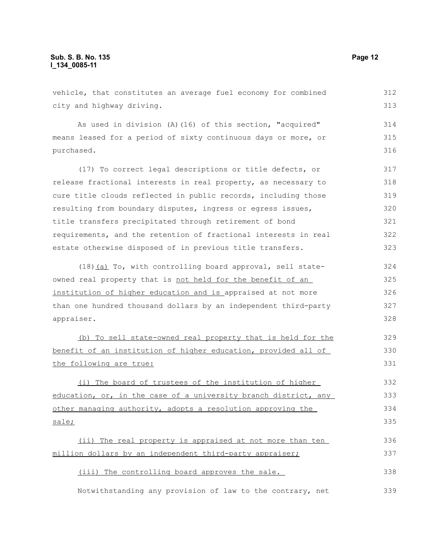vehicle, that constitutes an average fuel economy for combined city and highway driving. As used in division (A)(16) of this section, "acquired" means leased for a period of sixty continuous days or more, or purchased. (17) To correct legal descriptions or title defects, or release fractional interests in real property, as necessary to cure title clouds reflected in public records, including those resulting from boundary disputes, ingress or egress issues, title transfers precipitated through retirement of bond requirements, and the retention of fractional interests in real estate otherwise disposed of in previous title transfers. (18)(a) To, with controlling board approval, sell stateowned real property that is not held for the benefit of an institution of higher education and is appraised at not more than one hundred thousand dollars by an independent third-party appraiser. (b) To sell state-owned real property that is held for the benefit of an institution of higher education, provided all of the following are true: (i) The board of trustees of the institution of higher education, or, in the case of a university branch district, any other managing authority, adopts a resolution approving the sale; (ii) The real property is appraised at not more than ten million dollars by an independent third-party appraiser; (iii) The controlling board approves the sale. 312 313 314 315 316 317 318 319 320 321 322 323 324 325 326 327 328 329 330 331 332 333 334 335 336 337 338

Notwithstanding any provision of law to the contrary, net 339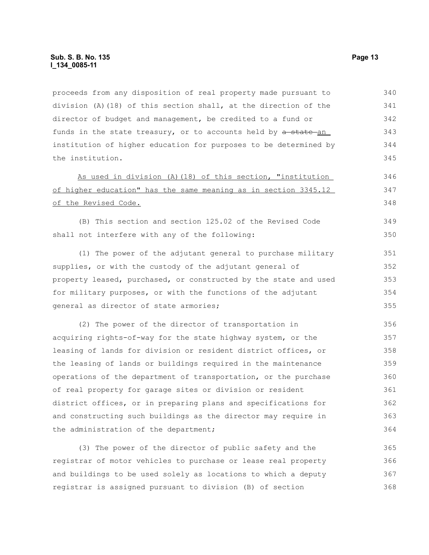proceeds from any disposition of real property made pursuant to division (A)(18) of this section shall, at the direction of the director of budget and management, be credited to a fund or funds in the state treasury, or to accounts held by a state an institution of higher education for purposes to be determined by the institution. 340 341 342 343 344 345

As used in division (A)(18) of this section, "institution of higher education" has the same meaning as in section 3345.12 of the Revised Code.

(B) This section and section 125.02 of the Revised Code shall not interfere with any of the following: 349 350

(1) The power of the adjutant general to purchase military supplies, or with the custody of the adjutant general of property leased, purchased, or constructed by the state and used for military purposes, or with the functions of the adjutant general as director of state armories;

(2) The power of the director of transportation in acquiring rights-of-way for the state highway system, or the leasing of lands for division or resident district offices, or the leasing of lands or buildings required in the maintenance operations of the department of transportation, or the purchase of real property for garage sites or division or resident district offices, or in preparing plans and specifications for and constructing such buildings as the director may require in the administration of the department; 356 357 358 359 360 361 362 363 364

(3) The power of the director of public safety and the registrar of motor vehicles to purchase or lease real property and buildings to be used solely as locations to which a deputy registrar is assigned pursuant to division (B) of section 365 366 367 368

346 347 348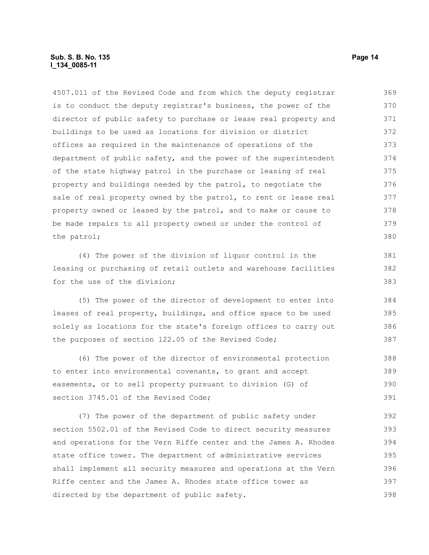# **Sub. S. B. No. 135 Page 14 l\_134\_0085-11**

4507.011 of the Revised Code and from which the deputy registrar is to conduct the deputy registrar's business, the power of the director of public safety to purchase or lease real property and buildings to be used as locations for division or district offices as required in the maintenance of operations of the department of public safety, and the power of the superintendent of the state highway patrol in the purchase or leasing of real property and buildings needed by the patrol, to negotiate the sale of real property owned by the patrol, to rent or lease real property owned or leased by the patrol, and to make or cause to be made repairs to all property owned or under the control of the patrol; 369 370 371 372 373 374 375 376 377 378 379 380

(4) The power of the division of liquor control in the leasing or purchasing of retail outlets and warehouse facilities for the use of the division;

(5) The power of the director of development to enter into leases of real property, buildings, and office space to be used solely as locations for the state's foreign offices to carry out the purposes of section 122.05 of the Revised Code; 384 385 386 387

(6) The power of the director of environmental protection to enter into environmental covenants, to grant and accept easements, or to sell property pursuant to division (G) of section 3745.01 of the Revised Code; 388 389 390 391

(7) The power of the department of public safety under section 5502.01 of the Revised Code to direct security measures and operations for the Vern Riffe center and the James A. Rhodes state office tower. The department of administrative services shall implement all security measures and operations at the Vern Riffe center and the James A. Rhodes state office tower as directed by the department of public safety. 392 393 394 395 396 397 398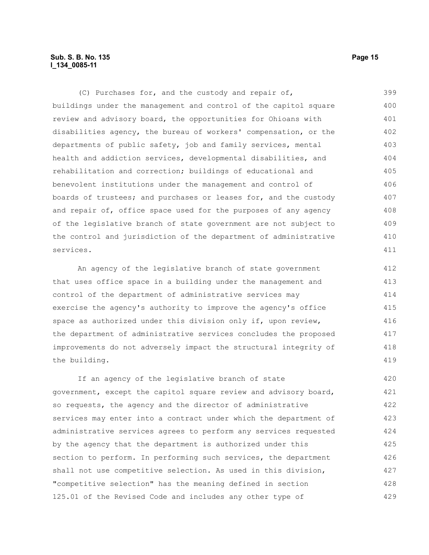# **Sub. S. B. No. 135 Page 15 l\_134\_0085-11**

(C) Purchases for, and the custody and repair of, buildings under the management and control of the capitol square review and advisory board, the opportunities for Ohioans with disabilities agency, the bureau of workers' compensation, or the departments of public safety, job and family services, mental health and addiction services, developmental disabilities, and rehabilitation and correction; buildings of educational and benevolent institutions under the management and control of boards of trustees; and purchases or leases for, and the custody and repair of, office space used for the purposes of any agency of the legislative branch of state government are not subject to the control and jurisdiction of the department of administrative services. 399 400 401 402 403 404 405 406 407 408 409 410 411

An agency of the legislative branch of state government that uses office space in a building under the management and control of the department of administrative services may exercise the agency's authority to improve the agency's office space as authorized under this division only if, upon review, the department of administrative services concludes the proposed improvements do not adversely impact the structural integrity of the building. 412 413 414 415 416 417 418 419

If an agency of the legislative branch of state government, except the capitol square review and advisory board, so requests, the agency and the director of administrative services may enter into a contract under which the department of administrative services agrees to perform any services requested by the agency that the department is authorized under this section to perform. In performing such services, the department shall not use competitive selection. As used in this division, "competitive selection" has the meaning defined in section 125.01 of the Revised Code and includes any other type of 420 421 422 423 424 425 426 427 428 429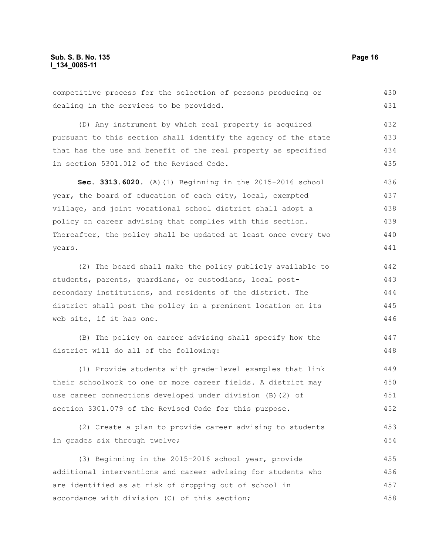competitive process for the selection of persons producing or dealing in the services to be provided. (D) Any instrument by which real property is acquired pursuant to this section shall identify the agency of the state that has the use and benefit of the real property as specified in section 5301.012 of the Revised Code. **Sec. 3313.6020.** (A)(1) Beginning in the 2015-2016 school year, the board of education of each city, local, exempted village, and joint vocational school district shall adopt a policy on career advising that complies with this section. Thereafter, the policy shall be updated at least once every two years. (2) The board shall make the policy publicly available to students, parents, guardians, or custodians, local postsecondary institutions, and residents of the district. The district shall post the policy in a prominent location on its web site, if it has one. (B) The policy on career advising shall specify how the district will do all of the following: (1) Provide students with grade-level examples that link their schoolwork to one or more career fields. A district may use career connections developed under division (B)(2) of section 3301.079 of the Revised Code for this purpose. (2) Create a plan to provide career advising to students in grades six through twelve; (3) Beginning in the 2015-2016 school year, provide 430 431 432 433 434 435 436 437 438 439 440 441 442 443 444 445 446 447 448 449 450 451 452 453 454 455

additional interventions and career advising for students who are identified as at risk of dropping out of school in accordance with division (C) of this section; 456 457 458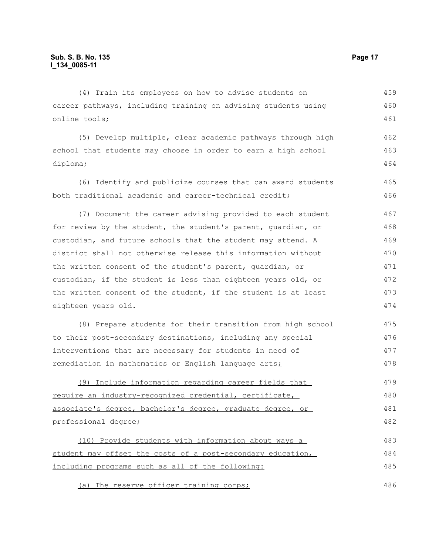(4) Train its employees on how to advise students on career pathways, including training on advising students using online tools; 459 460 461

(5) Develop multiple, clear academic pathways through high school that students may choose in order to earn a high school diploma; 462 463 464

(6) Identify and publicize courses that can award students both traditional academic and career-technical credit; 465 466

(7) Document the career advising provided to each student for review by the student, the student's parent, guardian, or custodian, and future schools that the student may attend. A district shall not otherwise release this information without the written consent of the student's parent, guardian, or custodian, if the student is less than eighteen years old, or the written consent of the student, if the student is at least eighteen years old. 467 468 469 470 471 472 473 474

(8) Prepare students for their transition from high school to their post-secondary destinations, including any special interventions that are necessary for students in need of remediation in mathematics or English language arts; 475 476 477 478

(9) Include information regarding career fields that require an industry-recognized credential, certificate, associate's degree, bachelor's degree, graduate degree, or professional degree; 479 480 481 482

(10) Provide students with information about ways a student may offset the costs of a post-secondary education, including programs such as all of the following: 483 484 485

(a) The reserve officer training corps;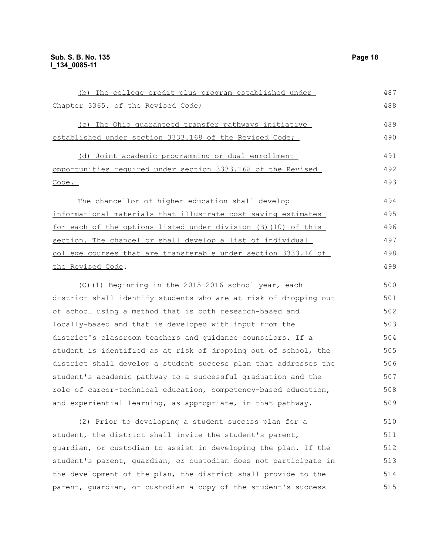| (b) The college credit plus program established under            | 487 |
|------------------------------------------------------------------|-----|
| Chapter 3365. of the Revised Code;                               | 488 |
| (c) The Ohio quaranteed transfer pathways initiative             | 489 |
| established under section 3333.168 of the Revised Code;          | 490 |
| (d) Joint academic programming or dual enrollment                | 491 |
| opportunities required under section 3333.168 of the Revised     | 492 |
| $\frac{\text{Code}}{\text{.}}$                                   | 493 |
| The chancellor of higher education shall develop                 | 494 |
| informational materials that illustrate cost saving estimates    | 495 |
| for each of the options listed under division (B) (10) of this   | 496 |
| section. The chancellor shall develop a list of individual       | 497 |
| college courses that are transferable under section 3333.16 of   | 498 |
| the Revised Code.                                                | 499 |
| (C)(1) Beginning in the 2015-2016 school year, each              | 500 |
| district shall identify students who are at risk of dropping out | 501 |
| of school using a method that is both research-based and         | 502 |
| locally-based and that is developed with input from the          | 503 |
| district's classroom teachers and guidance counselors. If a      | 504 |
| student is identified as at risk of dropping out of school, the  | 505 |
| district shall develop a student success plan that addresses the | 506 |
| student's academic pathway to a successful graduation and the    | 507 |
| role of career-technical education, competency-based education,  | 508 |
| and experiential learning, as appropriate, in that pathway.      | 509 |
| (2) Prior to developing a student success plan for a             | 510 |
| student, the district shall invite the student's parent,         | 511 |
| guardian, or custodian to assist in developing the plan. If the  | 512 |
| student's parent, quardian, or custodian does not participate in | 513 |
| the development of the plan, the district shall provide to the   | 514 |
| parent, quardian, or custodian a copy of the student's success   | 515 |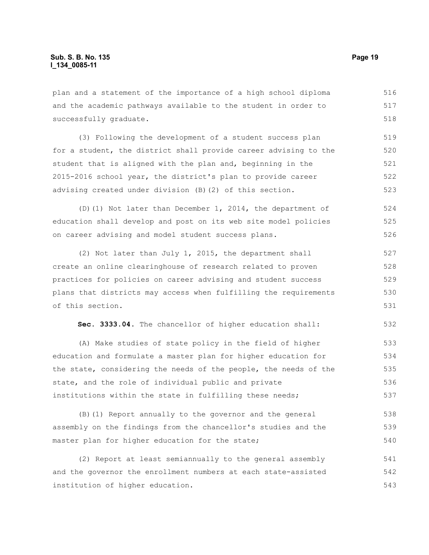plan and a statement of the importance of a high school diploma and the academic pathways available to the student in order to successfully graduate. 516 517 518

(3) Following the development of a student success plan for a student, the district shall provide career advising to the student that is aligned with the plan and, beginning in the 2015-2016 school year, the district's plan to provide career advising created under division (B)(2) of this section. 519 520 521 522 523

(D)(1) Not later than December 1, 2014, the department of education shall develop and post on its web site model policies on career advising and model student success plans. 524 525 526

(2) Not later than July 1, 2015, the department shall create an online clearinghouse of research related to proven practices for policies on career advising and student success plans that districts may access when fulfilling the requirements of this section. 527 528 529 530 531

**Sec. 3333.04.** The chancellor of higher education shall: 532

(A) Make studies of state policy in the field of higher education and formulate a master plan for higher education for the state, considering the needs of the people, the needs of the state, and the role of individual public and private institutions within the state in fulfilling these needs; 533 534 535 536 537

(B)(1) Report annually to the governor and the general assembly on the findings from the chancellor's studies and the master plan for higher education for the state; 538 539 540

(2) Report at least semiannually to the general assembly and the governor the enrollment numbers at each state-assisted institution of higher education. 541 542 543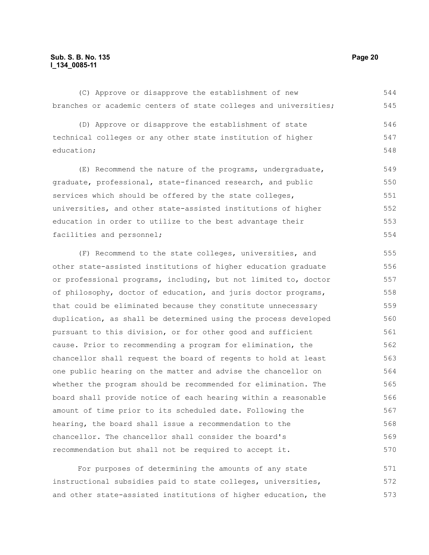# **Sub. S. B. No. 135 Page 20 l\_134\_0085-11**

(C) Approve or disapprove the establishment of new branches or academic centers of state colleges and universities; 544 545

(D) Approve or disapprove the establishment of state technical colleges or any other state institution of higher education; 546 547 548

(E) Recommend the nature of the programs, undergraduate, graduate, professional, state-financed research, and public services which should be offered by the state colleges, universities, and other state-assisted institutions of higher education in order to utilize to the best advantage their facilities and personnel; 549 550 551 552 553 554

(F) Recommend to the state colleges, universities, and other state-assisted institutions of higher education graduate or professional programs, including, but not limited to, doctor of philosophy, doctor of education, and juris doctor programs, that could be eliminated because they constitute unnecessary duplication, as shall be determined using the process developed pursuant to this division, or for other good and sufficient cause. Prior to recommending a program for elimination, the chancellor shall request the board of regents to hold at least one public hearing on the matter and advise the chancellor on whether the program should be recommended for elimination. The board shall provide notice of each hearing within a reasonable amount of time prior to its scheduled date. Following the hearing, the board shall issue a recommendation to the chancellor. The chancellor shall consider the board's recommendation but shall not be required to accept it. 555 556 557 558 559 560 561 562 563 564 565 566 567 568 569 570

For purposes of determining the amounts of any state instructional subsidies paid to state colleges, universities, and other state-assisted institutions of higher education, the 571 572 573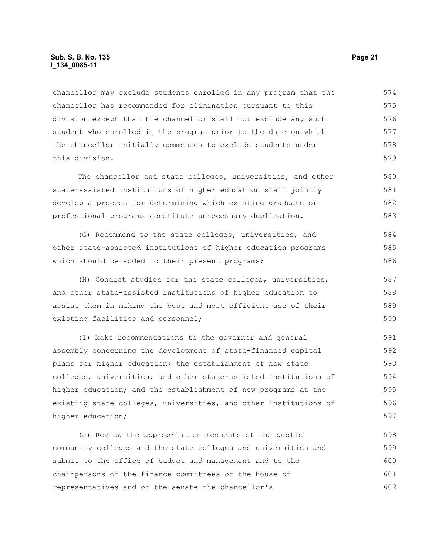# **Sub. S. B. No. 135 Page 21 l\_134\_0085-11**

chancellor may exclude students enrolled in any program that the chancellor has recommended for elimination pursuant to this division except that the chancellor shall not exclude any such student who enrolled in the program prior to the date on which the chancellor initially commences to exclude students under this division. 574 575 576 577 578 579

The chancellor and state colleges, universities, and other state-assisted institutions of higher education shall jointly develop a process for determining which existing graduate or professional programs constitute unnecessary duplication. 580 581 582 583

(G) Recommend to the state colleges, universities, and other state-assisted institutions of higher education programs which should be added to their present programs; 584 585 586

(H) Conduct studies for the state colleges, universities, and other state-assisted institutions of higher education to assist them in making the best and most efficient use of their existing facilities and personnel; 587 588 589 590

(I) Make recommendations to the governor and general assembly concerning the development of state-financed capital plans for higher education; the establishment of new state colleges, universities, and other state-assisted institutions of higher education; and the establishment of new programs at the existing state colleges, universities, and other institutions of higher education; 591 592 593 594 595 596 597

(J) Review the appropriation requests of the public community colleges and the state colleges and universities and submit to the office of budget and management and to the chairpersons of the finance committees of the house of representatives and of the senate the chancellor's 598 599 600 601 602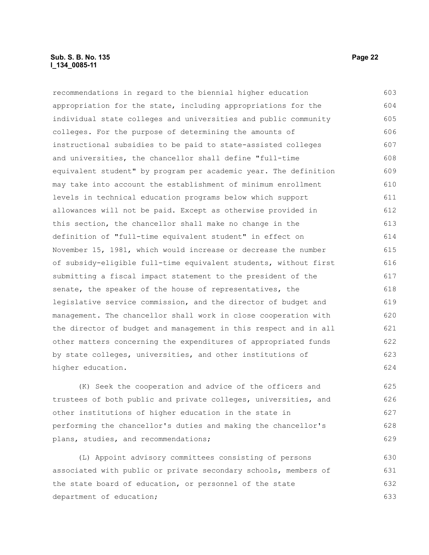# **Sub. S. B. No. 135 Page 22 l\_134\_0085-11**

recommendations in regard to the biennial higher education appropriation for the state, including appropriations for the individual state colleges and universities and public community colleges. For the purpose of determining the amounts of instructional subsidies to be paid to state-assisted colleges and universities, the chancellor shall define "full-time equivalent student" by program per academic year. The definition may take into account the establishment of minimum enrollment levels in technical education programs below which support allowances will not be paid. Except as otherwise provided in this section, the chancellor shall make no change in the definition of "full-time equivalent student" in effect on November 15, 1981, which would increase or decrease the number of subsidy-eligible full-time equivalent students, without first submitting a fiscal impact statement to the president of the senate, the speaker of the house of representatives, the legislative service commission, and the director of budget and management. The chancellor shall work in close cooperation with the director of budget and management in this respect and in all other matters concerning the expenditures of appropriated funds by state colleges, universities, and other institutions of higher education. 603 604 605 606 607 608 609 610 611 612 613 614 615 616 617 618 619 620 621 622 623 624

(K) Seek the cooperation and advice of the officers and trustees of both public and private colleges, universities, and other institutions of higher education in the state in performing the chancellor's duties and making the chancellor's plans, studies, and recommendations;

(L) Appoint advisory committees consisting of persons associated with public or private secondary schools, members of the state board of education, or personnel of the state department of education; 630 631 632 633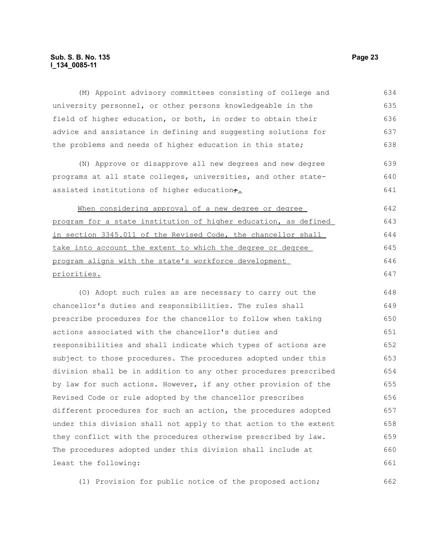# **Sub. S. B. No. 135 Page 23 l\_134\_0085-11**

(M) Appoint advisory committees consisting of college and university personnel, or other persons knowledgeable in the field of higher education, or both, in order to obtain their advice and assistance in defining and suggesting solutions for the problems and needs of higher education in this state; (N) Approve or disapprove all new degrees and new degree programs at all state colleges, universities, and other stateassisted institutions of higher education+. When considering approval of a new degree or degree program for a state institution of higher education, as defined in section 3345.011 of the Revised Code, the chancellor shall take into account the extent to which the degree or degree program aligns with the state's workforce development priorities. (O) Adopt such rules as are necessary to carry out the chancellor's duties and responsibilities. The rules shall prescribe procedures for the chancellor to follow when taking actions associated with the chancellor's duties and responsibilities and shall indicate which types of actions are subject to those procedures. The procedures adopted under this division shall be in addition to any other procedures prescribed by law for such actions. However, if any other provision of the Revised Code or rule adopted by the chancellor prescribes different procedures for such an action, the procedures adopted under this division shall not apply to that action to the extent they conflict with the procedures otherwise prescribed by law. The procedures adopted under this division shall include at least the following: 634 635 636 637 638 639 640 641 642 643 644 645 646 647 648 649 650 651 652 653 654 655 656 657 658 659 660 661

(1) Provision for public notice of the proposed action; 662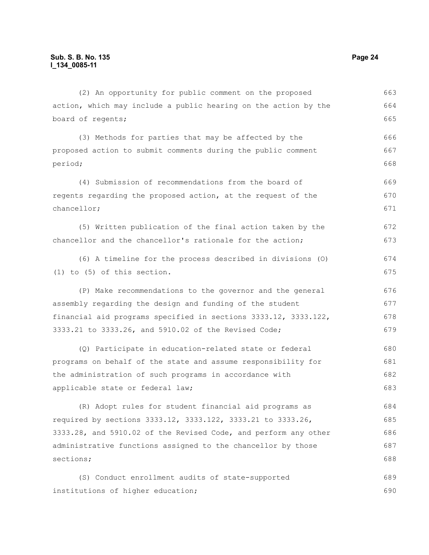action, which may include a public hearing on the action by the board of regents; (3) Methods for parties that may be affected by the proposed action to submit comments during the public comment period; (4) Submission of recommendations from the board of regents regarding the proposed action, at the request of the chancellor; (5) Written publication of the final action taken by the chancellor and the chancellor's rationale for the action; (6) A timeline for the process described in divisions (O) (1) to (5) of this section. (P) Make recommendations to the governor and the general assembly regarding the design and funding of the student financial aid programs specified in sections 3333.12, 3333.122, 3333.21 to 3333.26, and 5910.02 of the Revised Code; (Q) Participate in education-related state or federal programs on behalf of the state and assume responsibility for the administration of such programs in accordance with applicable state or federal law; (R) Adopt rules for student financial aid programs as required by sections 3333.12, 3333.122, 3333.21 to 3333.26, 3333.28, and 5910.02 of the Revised Code, and perform any other administrative functions assigned to the chancellor by those sections; (S) Conduct enrollment audits of state-supported 664 665 666 667 668 669 670 671 672 673 674 675 676 677 678 679 680 681 682 683 684 685 686 687 688 689

(2) An opportunity for public comment on the proposed

institutions of higher education; 690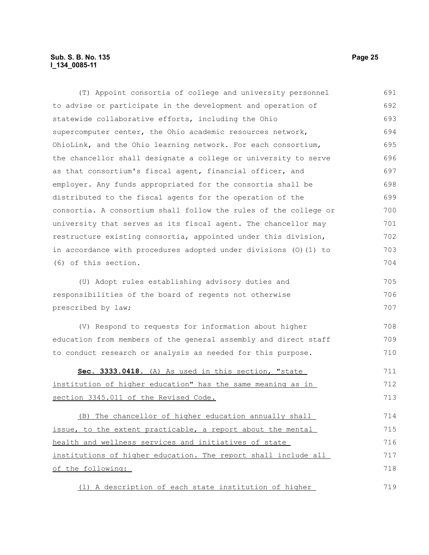# **Sub. S. B. No. 135 Page 25 l\_134\_0085-11**

(T) Appoint consortia of college and university personnel to advise or participate in the development and operation of statewide collaborative efforts, including the Ohio supercomputer center, the Ohio academic resources network, OhioLink, and the Ohio learning network. For each consortium, the chancellor shall designate a college or university to serve as that consortium's fiscal agent, financial officer, and employer. Any funds appropriated for the consortia shall be distributed to the fiscal agents for the operation of the consortia. A consortium shall follow the rules of the college or university that serves as its fiscal agent. The chancellor may restructure existing consortia, appointed under this division, in accordance with procedures adopted under divisions (O)(1) to (6) of this section. (U) Adopt rules establishing advisory duties and responsibilities of the board of regents not otherwise prescribed by law; (V) Respond to requests for information about higher education from members of the general assembly and direct staff to conduct research or analysis as needed for this purpose. **Sec. 3333.0418.** (A) As used in this section, "state institution of higher education" has the same meaning as in section 3345.011 of the Revised Code. (B) The chancellor of higher education annually shall issue, to the extent practicable, a report about the mental health and wellness services and initiatives of state institutions of higher education. The report shall include all of the following: (1) A description of each state institution of higher 691 692 693 694 695 696 697 698 699 700 701 702 703 704 705 706 707 708 709 710 711 712 713 714 715 716 717 718 719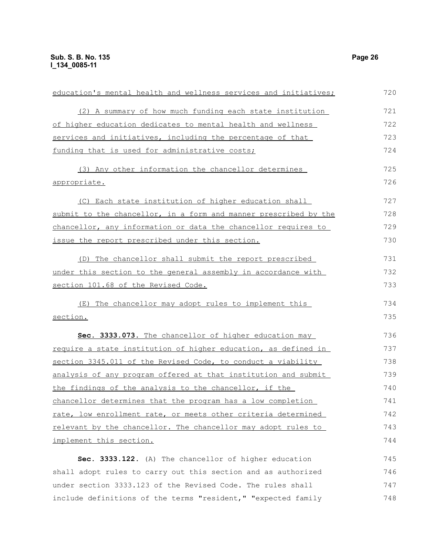| education's mental health and wellness services and initiatives;      | 720 |
|-----------------------------------------------------------------------|-----|
| (2) A summary of how much funding each state institution              | 721 |
| of higher education dedicates to mental health and wellness           | 722 |
| services and initiatives, including the percentage of that            | 723 |
| funding that is used for administrative costs;                        | 724 |
| (3) Any other information the chancellor determines                   | 725 |
| appropriate.                                                          | 726 |
| (C) Each state institution of higher education shall                  | 727 |
| submit to the chancellor, in a form and manner prescribed by the      | 728 |
| chancellor, any information or data the chancellor requires to        | 729 |
| issue the report prescribed under this section.                       | 730 |
| (D) The chancellor shall submit the report prescribed                 | 731 |
| under this section to the general assembly in accordance with         | 732 |
| section 101.68 of the Revised Code.                                   | 733 |
| (E) The chancellor may adopt rules to implement this                  | 734 |
| section.                                                              | 735 |
| Sec. 3333.073. The chancellor of higher education may                 | 736 |
| require a state institution of higher education, as defined in        | 737 |
| section 3345.011 of the Revised Code, to conduct a viability          | 738 |
| <u>analysis of any program offered at that institution and submit</u> | 739 |
| the findings of the analysis to the chancellor, if the                | 740 |
| chancellor determines that the program has a low completion           | 741 |
| rate, low enrollment rate, or meets other criteria determined         | 742 |
| relevant by the chancellor. The chancellor may adopt rules to         | 743 |
| implement this section.                                               | 744 |
| Sec. 3333.122. (A) The chancellor of higher education                 | 745 |
| shall adopt rules to carry out this section and as authorized         | 746 |
| under section 3333.123 of the Revised Code. The rules shall           | 747 |
| include definitions of the terms "resident," "expected family         | 748 |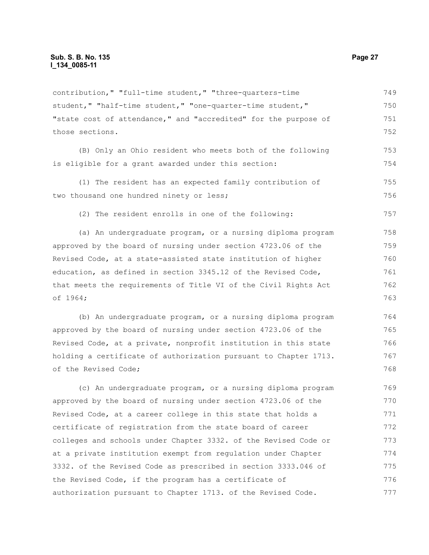contribution," "full-time student," "three-quarters-time student," "half-time student," "one-quarter-time student," "state cost of attendance," and "accredited" for the purpose of those sections. 749 750 751 752

(B) Only an Ohio resident who meets both of the following is eligible for a grant awarded under this section: 753 754

(1) The resident has an expected family contribution of two thousand one hundred ninety or less; 755 756

(2) The resident enrolls in one of the following:

(a) An undergraduate program, or a nursing diploma program approved by the board of nursing under section 4723.06 of the Revised Code, at a state-assisted state institution of higher education, as defined in section 3345.12 of the Revised Code, that meets the requirements of Title VI of the Civil Rights Act of 1964; 758 759 760 761 762 763

(b) An undergraduate program, or a nursing diploma program approved by the board of nursing under section 4723.06 of the Revised Code, at a private, nonprofit institution in this state holding a certificate of authorization pursuant to Chapter 1713. of the Revised Code; 764 765 766 767 768

(c) An undergraduate program, or a nursing diploma program approved by the board of nursing under section 4723.06 of the Revised Code, at a career college in this state that holds a certificate of registration from the state board of career colleges and schools under Chapter 3332. of the Revised Code or at a private institution exempt from regulation under Chapter 3332. of the Revised Code as prescribed in section 3333.046 of the Revised Code, if the program has a certificate of authorization pursuant to Chapter 1713. of the Revised Code. 769 770 771 772 773 774 775 776 777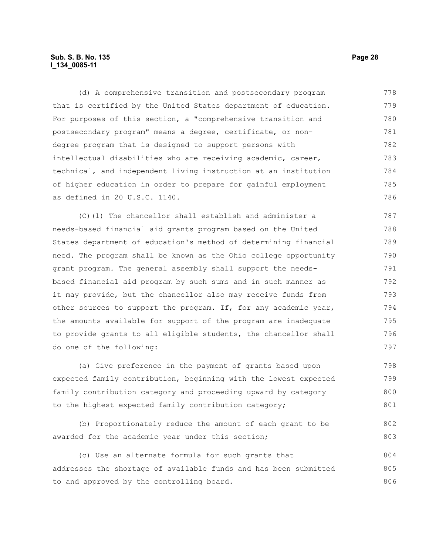# **Sub. S. B. No. 135 Page 28 l\_134\_0085-11**

(d) A comprehensive transition and postsecondary program that is certified by the United States department of education. For purposes of this section, a "comprehensive transition and postsecondary program" means a degree, certificate, or nondegree program that is designed to support persons with intellectual disabilities who are receiving academic, career, technical, and independent living instruction at an institution of higher education in order to prepare for gainful employment as defined in 20 U.S.C. 1140. 778 779 780 781 782 783 784 785 786

(C)(1) The chancellor shall establish and administer a needs-based financial aid grants program based on the United States department of education's method of determining financial need. The program shall be known as the Ohio college opportunity grant program. The general assembly shall support the needsbased financial aid program by such sums and in such manner as it may provide, but the chancellor also may receive funds from other sources to support the program. If, for any academic year, the amounts available for support of the program are inadequate to provide grants to all eligible students, the chancellor shall do one of the following: 787 788 789 790 791 792 793 794 795 796 797

(a) Give preference in the payment of grants based upon expected family contribution, beginning with the lowest expected family contribution category and proceeding upward by category to the highest expected family contribution category; 798 799 800 801

(b) Proportionately reduce the amount of each grant to be awarded for the academic year under this section; 802 803

(c) Use an alternate formula for such grants that addresses the shortage of available funds and has been submitted to and approved by the controlling board. 804 805 806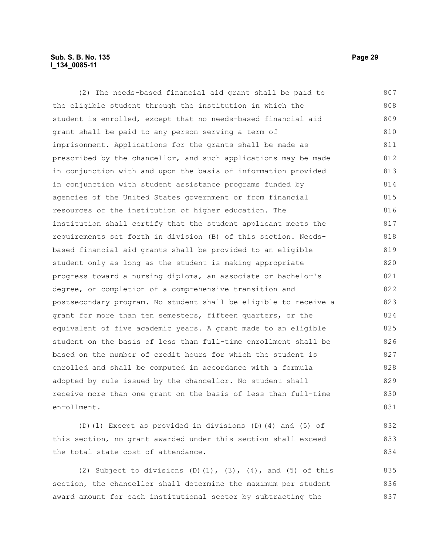# **Sub. S. B. No. 135 Page 29 l\_134\_0085-11**

(2) The needs-based financial aid grant shall be paid to the eligible student through the institution in which the student is enrolled, except that no needs-based financial aid grant shall be paid to any person serving a term of imprisonment. Applications for the grants shall be made as prescribed by the chancellor, and such applications may be made in conjunction with and upon the basis of information provided in conjunction with student assistance programs funded by agencies of the United States government or from financial resources of the institution of higher education. The institution shall certify that the student applicant meets the requirements set forth in division (B) of this section. Needsbased financial aid grants shall be provided to an eligible student only as long as the student is making appropriate progress toward a nursing diploma, an associate or bachelor's degree, or completion of a comprehensive transition and postsecondary program. No student shall be eligible to receive a grant for more than ten semesters, fifteen quarters, or the equivalent of five academic years. A grant made to an eligible student on the basis of less than full-time enrollment shall be based on the number of credit hours for which the student is enrolled and shall be computed in accordance with a formula adopted by rule issued by the chancellor. No student shall receive more than one grant on the basis of less than full-time enrollment. 807 808 809 810 811 812 813 814 815 816 817 818 819 820 821 822 823 824 825 826 827 828 829 830 831

(D)(1) Except as provided in divisions (D)(4) and (5) of this section, no grant awarded under this section shall exceed the total state cost of attendance.

(2) Subject to divisions (D)(1),  $(3)$ ,  $(4)$ , and  $(5)$  of this section, the chancellor shall determine the maximum per student award amount for each institutional sector by subtracting the 835 836 837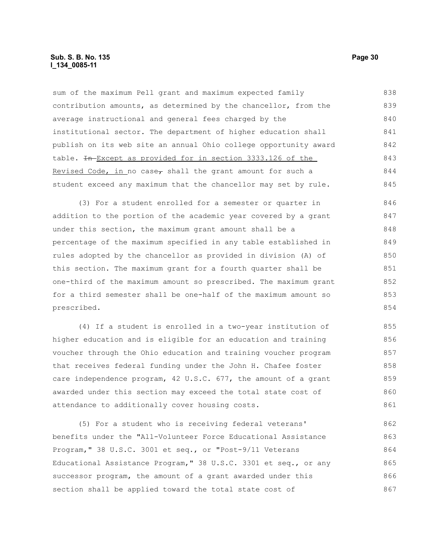sum of the maximum Pell grant and maximum expected family contribution amounts, as determined by the chancellor, from the average instructional and general fees charged by the institutional sector. The department of higher education shall publish on its web site an annual Ohio college opportunity award table. In Except as provided for in section 3333.126 of the Revised Code, in no case, shall the grant amount for such a student exceed any maximum that the chancellor may set by rule. 838 839 840 841 842 843 844 845

(3) For a student enrolled for a semester or quarter in addition to the portion of the academic year covered by a grant under this section, the maximum grant amount shall be a percentage of the maximum specified in any table established in rules adopted by the chancellor as provided in division (A) of this section. The maximum grant for a fourth quarter shall be one-third of the maximum amount so prescribed. The maximum grant for a third semester shall be one-half of the maximum amount so prescribed. 846 847 848 849 850 851 852 853 854

(4) If a student is enrolled in a two-year institution of higher education and is eligible for an education and training voucher through the Ohio education and training voucher program that receives federal funding under the John H. Chafee foster care independence program, 42 U.S.C. 677, the amount of a grant awarded under this section may exceed the total state cost of attendance to additionally cover housing costs. 855 856 857 858 859 860 861

(5) For a student who is receiving federal veterans' benefits under the "All-Volunteer Force Educational Assistance Program," 38 U.S.C. 3001 et seq., or "Post-9/11 Veterans Educational Assistance Program," 38 U.S.C. 3301 et seq., or any successor program, the amount of a grant awarded under this section shall be applied toward the total state cost of 862 863 864 865 866 867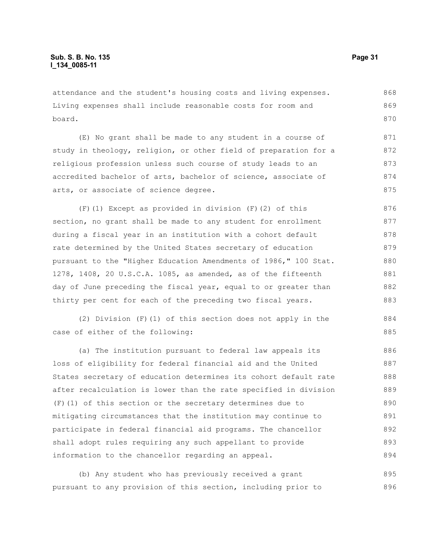attendance and the student's housing costs and living expenses. Living expenses shall include reasonable costs for room and board. 868 869 870

(E) No grant shall be made to any student in a course of study in theology, religion, or other field of preparation for a religious profession unless such course of study leads to an accredited bachelor of arts, bachelor of science, associate of arts, or associate of science degree. 871 872 873 874 875

(F)(1) Except as provided in division (F)(2) of this section, no grant shall be made to any student for enrollment during a fiscal year in an institution with a cohort default rate determined by the United States secretary of education pursuant to the "Higher Education Amendments of 1986," 100 Stat. 1278, 1408, 20 U.S.C.A. 1085, as amended, as of the fifteenth day of June preceding the fiscal year, equal to or greater than thirty per cent for each of the preceding two fiscal years. 876 877 878 879 880 881 882 883

(2) Division (F)(1) of this section does not apply in the case of either of the following:

(a) The institution pursuant to federal law appeals its loss of eligibility for federal financial aid and the United States secretary of education determines its cohort default rate after recalculation is lower than the rate specified in division (F)(1) of this section or the secretary determines due to mitigating circumstances that the institution may continue to participate in federal financial aid programs. The chancellor shall adopt rules requiring any such appellant to provide information to the chancellor regarding an appeal. 886 887 888 889 890 891 892 893 894

(b) Any student who has previously received a grant pursuant to any provision of this section, including prior to 895 896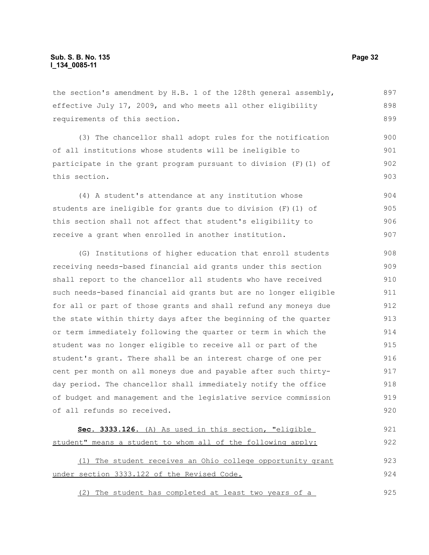the section's amendment by H.B. 1 of the 128th general assembly, effective July 17, 2009, and who meets all other eligibility requirements of this section. 897 898 899

(3) The chancellor shall adopt rules for the notification of all institutions whose students will be ineligible to participate in the grant program pursuant to division (F)(1) of this section. 900 901 902 903

(4) A student's attendance at any institution whose students are ineligible for grants due to division (F)(1) of this section shall not affect that student's eligibility to receive a grant when enrolled in another institution. 904 905 906 907

(G) Institutions of higher education that enroll students receiving needs-based financial aid grants under this section shall report to the chancellor all students who have received such needs-based financial aid grants but are no longer eligible for all or part of those grants and shall refund any moneys due the state within thirty days after the beginning of the quarter or term immediately following the quarter or term in which the student was no longer eligible to receive all or part of the student's grant. There shall be an interest charge of one per cent per month on all moneys due and payable after such thirtyday period. The chancellor shall immediately notify the office of budget and management and the legislative service commission of all refunds so received. 908 909 910 911 912 913 914 915 916 917 918 919 920

```
 Sec. 3333.126. (A) As used in this section, "eligible 
student" means a student to whom all of the following apply:
     (1) The student receives an Ohio college opportunity grant
under section 3333.122 of the Revised Code.
                                                                            921
                                                                            922
                                                                            923
                                                                            924
```
(2) The student has completed at least two years of a 925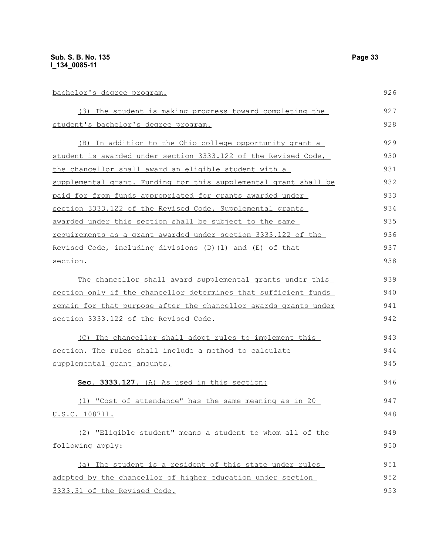| bachelor's degree program.                                       | 926 |
|------------------------------------------------------------------|-----|
| (3) The student is making progress toward completing the         | 927 |
| <u>student's bachelor's degree program.</u>                      | 928 |
| (B) In addition to the Ohio college opportunity grant a          | 929 |
| student is awarded under section 3333.122 of the Revised Code,   | 930 |
| the chancellor shall award an eligible student with a            | 931 |
| supplemental grant. Funding for this supplemental grant shall be | 932 |
| paid for from funds appropriated for grants awarded under        | 933 |
| section 3333.122 of the Revised Code. Supplemental grants        | 934 |
| <u>awarded under this section shall be subject to the same</u>   | 935 |
| requirements as a grant awarded under section 3333.122 of the    | 936 |
| Revised Code, including divisions (D) (1) and (E) of that        | 937 |
| section.                                                         | 938 |
| The chancellor shall award supplemental grants under this        | 939 |
| section only if the chancellor determines that sufficient funds  | 940 |
| remain for that purpose after the chancellor awards grants under | 941 |
| section 3333.122 of the Revised Code.                            | 942 |
| (C) The chancellor shall adopt rules to implement this           | 943 |
| section. The rules shall include a method to calculate           | 944 |
| supplemental grant amounts.                                      | 945 |
| Sec. 3333.127. (A) As used in this section:                      | 946 |
| (1) "Cost of attendance" has the same meaning as in 20           | 947 |
| U.S.C. 108711.                                                   | 948 |
| (2) "Eligible student" means a student to whom all of the        | 949 |
| following apply:                                                 | 950 |
| (a) The student is a resident of this state under rules          | 951 |
| adopted by the chancellor of higher education under section      | 952 |
| 3333.31 of the Revised Code.                                     | 953 |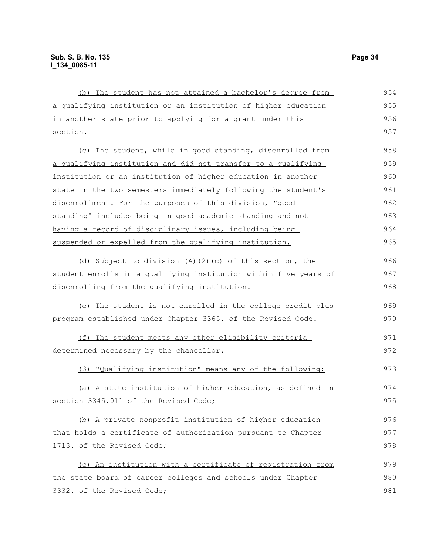| (b) The student has not attained a bachelor's degree from        | 954 |
|------------------------------------------------------------------|-----|
| a qualifying institution or an institution of higher education   | 955 |
| in another state prior to applying for a grant under this        | 956 |
| section.                                                         | 957 |
| (c) The student, while in good standing, disenrolled from        | 958 |
| a qualifying institution and did not transfer to a qualifying    | 959 |
| institution or an institution of higher education in another     | 960 |
| state in the two semesters immediately following the student's   | 961 |
| disenrollment. For the purposes of this division, "good          | 962 |
| standing" includes being in good academic standing and not       | 963 |
| having a record of disciplinary issues, including being          | 964 |
| suspended or expelled from the qualifying institution.           | 965 |
|                                                                  |     |
| (d) Subject to division (A)(2)(c) of this section, the           | 966 |
| student enrolls in a qualifying institution within five years of | 967 |
| disenrolling from the qualifying institution.                    | 968 |
| (e) The student is not enrolled in the college credit plus       | 969 |
| program established under Chapter 3365. of the Revised Code.     | 970 |
| (f) The student meets any other eligibility criteria             | 971 |
| determined necessary by the chancellor.                          | 972 |
| (3) "Qualifying institution" means any of the following:         | 973 |
| (a) A state institution of higher education, as defined in       | 974 |
| section 3345.011 of the Revised Code;                            | 975 |
| (b) A private nonprofit institution of higher education          | 976 |
| that holds a certificate of authorization pursuant to Chapter    | 977 |
| 1713. of the Revised Code;                                       | 978 |
| (c) An institution with a certificate of registration from       | 979 |
| the state board of career colleges and schools under Chapter     | 980 |
|                                                                  |     |
| 3332. of the Revised Code;                                       | 981 |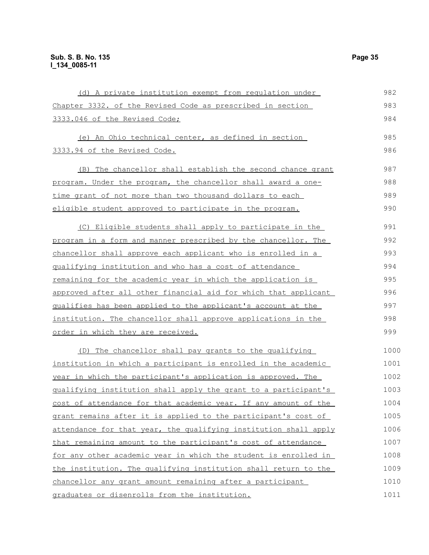| (d) A private institution exempt from regulation under           | 982  |
|------------------------------------------------------------------|------|
| Chapter 3332. of the Revised Code as prescribed in section       | 983  |
| 3333.046 of the Revised Code;                                    | 984  |
| (e) An Ohio technical center, as defined in section              | 985  |
| 3333.94 of the Revised Code.                                     | 986  |
| (B) The chancellor shall establish the second chance grant       | 987  |
| program. Under the program, the chancellor shall award a one-    | 988  |
| time grant of not more than two thousand dollars to each         | 989  |
| eligible student approved to participate in the program.         | 990  |
| (C) Eligible students shall apply to participate in the          | 991  |
| program in a form and manner prescribed by the chancellor. The   | 992  |
| chancellor shall approve each applicant who is enrolled in a     | 993  |
| qualifying institution and who has a cost of attendance          | 994  |
| remaining for the academic year in which the application is      | 995  |
| approved after all other financial aid for which that applicant  | 996  |
| qualifies has been applied to the applicant's account at the     | 997  |
| institution. The chancellor shall approve applications in the    | 998  |
| order in which they are received.                                | 999  |
| (D) The chancellor shall pay grants to the qualifying            | 1000 |
| institution in which a participant is enrolled in the academic   | 1001 |
| year in which the participant's application is approved. The     | 1002 |
| qualifying institution shall apply the grant to a participant's  | 1003 |
| cost of attendance for that academic year. If any amount of the  | 1004 |
| grant remains after it is applied to the participant's cost of   | 1005 |
| attendance for that year, the qualifying institution shall apply | 1006 |
| that remaining amount to the participant's cost of attendance    | 1007 |
| for any other academic year in which the student is enrolled in  | 1008 |
| the institution. The qualifying institution shall return to the  | 1009 |
| chancellor any grant amount remaining after a participant        | 1010 |
| graduates or disenrolls from the institution.                    | 1011 |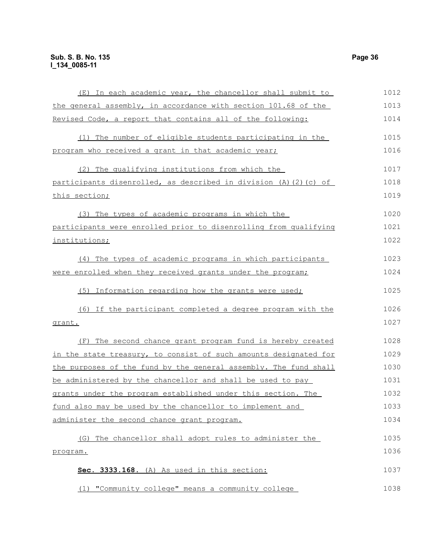| (E) In each academic year, the chancellor shall submit to        | 1012 |
|------------------------------------------------------------------|------|
| the general assembly, in accordance with section 101.68 of the   | 1013 |
| Revised Code, a report that contains all of the following:       | 1014 |
| (1) The number of eligible students participating in the         | 1015 |
| program who received a grant in that academic year;              | 1016 |
| (2) The qualifying institutions from which the                   | 1017 |
| participants disenrolled, as described in division (A)(2)(c) of  | 1018 |
| this section;                                                    | 1019 |
| (3) The types of academic programs in which the                  | 1020 |
| participants were enrolled prior to disenrolling from qualifying | 1021 |
| institutions;                                                    | 1022 |
| (4) The types of academic programs in which participants         | 1023 |
| were enrolled when they received grants under the program;       | 1024 |
| (5) Information regarding how the grants were used;              | 1025 |
| (6) If the participant completed a degree program with the       | 1026 |
| grant.                                                           | 1027 |
| (F) The second chance grant program fund is hereby created       | 1028 |
| in the state treasury, to consist of such amounts designated for | 1029 |
| the purposes of the fund by the general assembly. The fund shall | 1030 |
| be administered by the chancellor and shall be used to pay       | 1031 |
| grants under the program established under this section. The     | 1032 |
| fund also may be used by the chancellor to implement and         | 1033 |
| administer the second chance grant program.                      | 1034 |
| The chancellor shall adopt rules to administer the<br>(G)        | 1035 |
| program.                                                         | 1036 |
| Sec. 3333.168. (A) As used in this section:                      | 1037 |
| (1) "Community college" means a community college                | 1038 |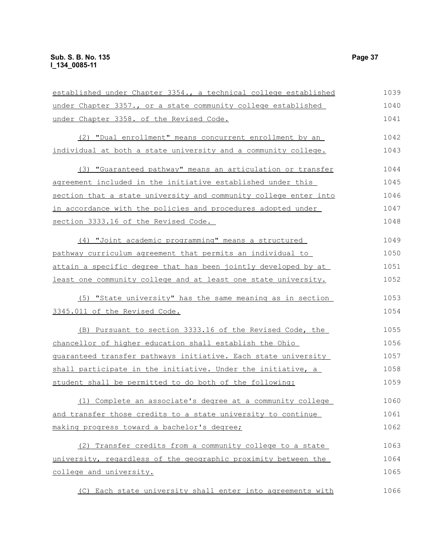| established under Chapter 3354., a technical college established | 1039 |
|------------------------------------------------------------------|------|
| under Chapter 3357., or a state community college established    | 1040 |
| under Chapter 3358. of the Revised Code.                         | 1041 |
| (2) "Dual enrollment" means concurrent enrollment by an          | 1042 |
| individual at both a state university and a community college.   | 1043 |
| (3) "Guaranteed pathway" means an articulation or transfer       | 1044 |
| agreement included in the initiative established under this      | 1045 |
| section that a state university and community college enter into | 1046 |
| in accordance with the policies and procedures adopted under     | 1047 |
| section 3333.16 of the Revised Code.                             | 1048 |
| (4) "Joint academic programming" means a structured              | 1049 |
| pathway curriculum agreement that permits an individual to       | 1050 |
| attain a specific degree that has been jointly developed by at   | 1051 |
| least one community college and at least one state university.   | 1052 |
| (5) "State university" has the same meaning as in section        | 1053 |
| 3345.011 of the Revised Code.                                    | 1054 |
| (B) Pursuant to section 3333.16 of the Revised Code, the         | 1055 |
| chancellor of higher education shall establish the Ohio          | 1056 |
| guaranteed transfer pathways initiative. Each state university   | 1057 |
| shall participate in the initiative. Under the initiative, a     | 1058 |
| student shall be permitted to do both of the following:          | 1059 |
| (1) Complete an associate's degree at a community college        | 1060 |
| and transfer those credits to a state university to continue     | 1061 |
| making progress toward a bachelor's degree;                      | 1062 |
| (2) Transfer credits from a community college to a state         | 1063 |
| university, regardless of the geographic proximity between the   | 1064 |
| college and university.                                          | 1065 |
| (C) Each state university shall enter into agreements with       | 1066 |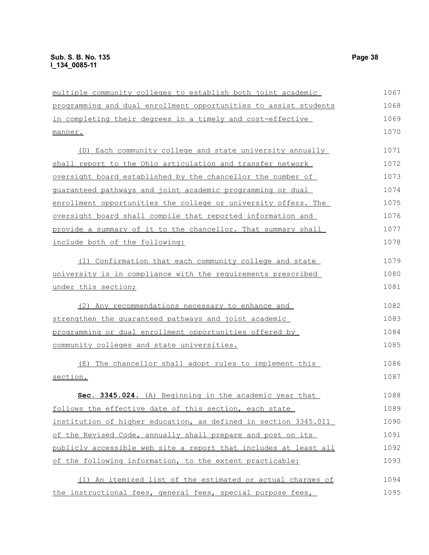| multiple community colleges to establish both joint academic        | 1067 |
|---------------------------------------------------------------------|------|
| programming and dual enrollment opportunities to assist students    | 1068 |
| in completing their degrees in a timely and cost-effective          | 1069 |
| manner.                                                             | 1070 |
| (D) Each community college and state university annually            | 1071 |
| shall report to the Ohio articulation and transfer network          | 1072 |
| oversight board established by the chancellor the number of         | 1073 |
| guaranteed pathways and joint academic programming or dual          | 1074 |
| enrollment opportunities the college or university offers. The      | 1075 |
| oversight board shall compile that reported information and         | 1076 |
| provide a summary of it to the chancellor. That summary shall       | 1077 |
| include both of the following:                                      | 1078 |
| (1) Confirmation that each community college and state              | 1079 |
| <u>university is in compliance with the requirements prescribed</u> | 1080 |
| under this section;                                                 | 1081 |
| (2) Any recommendations necessary to enhance and                    | 1082 |
| strengthen the quaranteed pathways and joint academic               | 1083 |
| programming or dual enrollment opportunities offered by             | 1084 |
| community colleges and state universities.                          | 1085 |
| (E) The chancellor shall adopt rules to implement this              | 1086 |
| section.                                                            | 1087 |
| Sec. 3345.024. (A) Beginning in the academic year that              | 1088 |
| follows the effective date of this section, each state              | 1089 |
| institution of higher education, as defined in section 3345.011     | 1090 |
| of the Revised Code, annually shall prepare and post on its         | 1091 |
| publicly accessible web site a report that includes at least all    | 1092 |
| of the following information, to the extent practicable:            | 1093 |
| (1) An itemized list of the estimated or actual charges of          | 1094 |
| the instructional fees, general fees, special purpose fees,         | 1095 |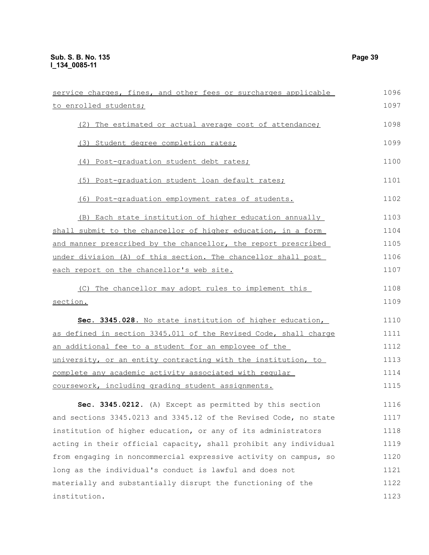| service charges, fines, and other fees or surcharges applicable       | 1096 |
|-----------------------------------------------------------------------|------|
| to enrolled students;                                                 | 1097 |
| (2) The estimated or actual average cost of attendance;               | 1098 |
| (3) Student degree completion rates;                                  | 1099 |
| (4) Post-graduation student debt rates;                               | 1100 |
| (5) Post-graduation student loan default rates;                       | 1101 |
| (6) Post-graduation employment rates of students.                     | 1102 |
| (B) Each state institution of higher education annually               | 1103 |
| shall submit to the chancellor of higher education, in a form         | 1104 |
| <u>and manner prescribed by the chancellor, the report prescribed</u> | 1105 |
| under division (A) of this section. The chancellor shall post         | 1106 |
| each report on the chancellor's web site.                             | 1107 |
| (C) The chancellor may adopt rules to implement this                  | 1108 |
| section.                                                              | 1109 |
| Sec. 3345.028. No state institution of higher education,              | 1110 |
| as defined in section 3345.011 of the Revised Code, shall charge      | 1111 |
| an additional fee to a student for an employee of the                 | 1112 |
| university, or an entity contracting with the institution, to         | 1113 |
| complete any academic activity associated with regular                | 1114 |
| coursework, including grading student assignments.                    | 1115 |
| Sec. 3345.0212. (A) Except as permitted by this section               | 1116 |
| and sections 3345.0213 and 3345.12 of the Revised Code, no state      | 1117 |
| institution of higher education, or any of its administrators         | 1118 |
| acting in their official capacity, shall prohibit any individual      | 1119 |
| from engaging in noncommercial expressive activity on campus, so      | 1120 |
| long as the individual's conduct is lawful and does not               | 1121 |
| materially and substantially disrupt the functioning of the           | 1122 |
| institution.                                                          | 1123 |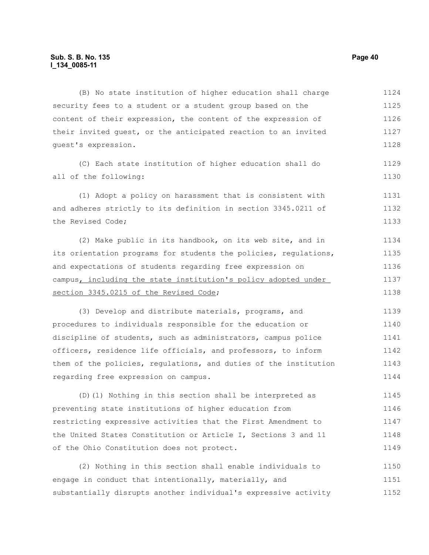(B) No state institution of higher education shall charge security fees to a student or a student group based on the content of their expression, the content of the expression of their invited guest, or the anticipated reaction to an invited guest's expression. (C) Each state institution of higher education shall do all of the following: (1) Adopt a policy on harassment that is consistent with and adheres strictly to its definition in section 3345.0211 of the Revised Code; (2) Make public in its handbook, on its web site, and in its orientation programs for students the policies, regulations, and expectations of students regarding free expression on campus, including the state institution's policy adopted under section 3345.0215 of the Revised Code; (3) Develop and distribute materials, programs, and procedures to individuals responsible for the education or discipline of students, such as administrators, campus police officers, residence life officials, and professors, to inform them of the policies, regulations, and duties of the institution regarding free expression on campus. (D)(1) Nothing in this section shall be interpreted as preventing state institutions of higher education from restricting expressive activities that the First Amendment to 1124 1125 1126 1127 1128 1129 1130 1131 1132 1133 1134 1135 1136 1137 1138 1139 1140 1141 1142 1143 1144 1145 1146 1147

(2) Nothing in this section shall enable individuals to engage in conduct that intentionally, materially, and substantially disrupts another individual's expressive activity 1150 1151 1152

the United States Constitution or Article I, Sections 3 and 11

of the Ohio Constitution does not protect.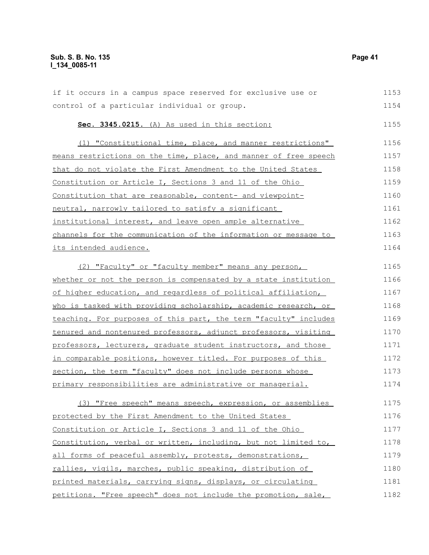# **Sub. S. B. No. 135** Page 41 **l\_134\_0085-11**

| if it occurs in a campus space reserved for exclusive use or     | 1153 |
|------------------------------------------------------------------|------|
| control of a particular individual or group.                     | 1154 |
| Sec. 3345.0215. (A) As used in this section:                     | 1155 |
| (1) "Constitutional time, place, and manner restrictions"        | 1156 |
| means restrictions on the time, place, and manner of free speech | 1157 |
| that do not violate the First Amendment to the United States     | 1158 |
| <u>Constitution or Article I, Sections 3 and 11 of the Ohio </u> | 1159 |
| Constitution that are reasonable, content- and viewpoint-        | 1160 |
| neutral, narrowly tailored to satisfy a significant              | 1161 |
| institutional interest, and leave open ample alternative         | 1162 |
| channels for the communication of the information or message to  | 1163 |
| <u>its intended audience.</u>                                    | 1164 |
| (2) "Faculty" or "faculty member" means any person,              | 1165 |
| whether or not the person is compensated by a state institution  | 1166 |
| of higher education, and regardless of political affiliation,    | 1167 |
| who is tasked with providing scholarship, academic research, or  | 1168 |
| teaching. For purposes of this part, the term "faculty" includes | 1169 |
| tenured and nontenured professors, adjunct professors, visiting  | 1170 |
| professors, lecturers, graduate student instructors, and those   | 1171 |
| in comparable positions, however titled. For purposes of this    | 1172 |
| section, the term "faculty" does not include persons whose       | 1173 |
| primary responsibilities are administrative or managerial.       | 1174 |
| (3) "Free speech" means speech, expression, or assemblies        | 1175 |
| protected by the First Amendment to the United States            | 1176 |
| Constitution or Article I, Sections 3 and 11 of the Ohio         | 1177 |
| Constitution, verbal or written, including, but not limited to,  | 1178 |
| all forms of peaceful assembly, protests, demonstrations,        | 1179 |
|                                                                  |      |

rallies, vigils, marches, public speaking, distribution of printed materials, carrying signs, displays, or circulating petitions. "Free speech" does not include the promotion, sale, 1180 1181 1182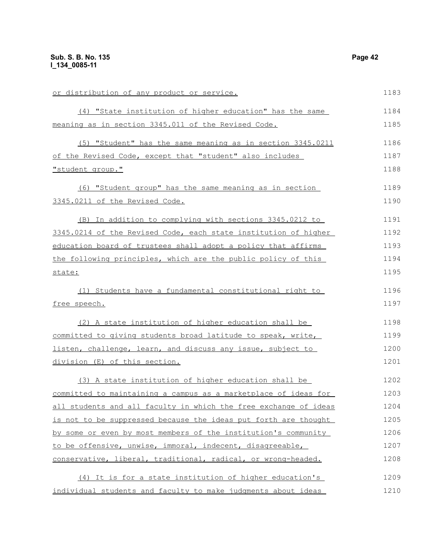| or distribution of any product or service.                       | 1183 |
|------------------------------------------------------------------|------|
| (4) "State institution of higher education" has the same         | 1184 |
| meaning as in section 3345.011 of the Revised Code.              | 1185 |
| (5) "Student" has the same meaning as in section 3345.0211       | 1186 |
| of the Revised Code, except that "student" also includes         | 1187 |
| "student group."                                                 | 1188 |
| (6) "Student group" has the same meaning as in section           | 1189 |
| 3345.0211 of the Revised Code.                                   | 1190 |
| (B) In addition to complying with sections 3345.0212 to          | 1191 |
| 3345.0214 of the Revised Code, each state institution of higher  | 1192 |
| education board of trustees shall adopt a policy that affirms    | 1193 |
| the following principles, which are the public policy of this    | 1194 |
| state:                                                           | 1195 |
| (1) Students have a fundamental constitutional right to          | 1196 |
| free speech.                                                     | 1197 |
| (2) A state institution of higher education shall be             | 1198 |
| committed to giving students broad latitude to speak, write,     | 1199 |
| listen, challenge, learn, and discuss any issue, subject to      | 1200 |
| division (E) of this section.                                    | 1201 |
| (3) A state institution of higher education shall be             | 1202 |
| committed to maintaining a campus as a marketplace of ideas for  | 1203 |
| all students and all faculty in which the free exchange of ideas | 1204 |
| is not to be suppressed because the ideas put forth are thought  | 1205 |
| by some or even by most members of the institution's community   | 1206 |
| to be offensive, unwise, immoral, indecent, disagreeable,        | 1207 |
| conservative, liberal, traditional, radical, or wrong-headed.    | 1208 |
| (4) It is for a state institution of higher education's          | 1209 |
| individual students and faculty to make judgments about ideas    | 1210 |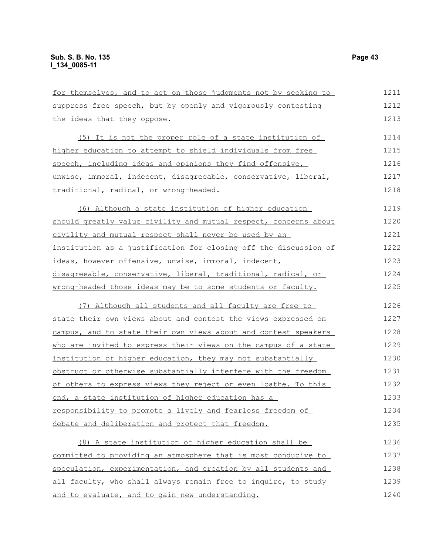| for themselves, and to act on those judgments not by seeking to  | 1211 |
|------------------------------------------------------------------|------|
| suppress free speech, but by openly and vigorously contesting    | 1212 |
| the ideas that they oppose.                                      | 1213 |
| (5) It is not the proper role of a state institution of          | 1214 |
| higher education to attempt to shield individuals from free      | 1215 |
| speech, including ideas and opinions they find offensive,        | 1216 |
| unwise, immoral, indecent, disagreeable, conservative, liberal,  | 1217 |
| traditional, radical, or wrong-headed.                           | 1218 |
| (6) Although a state institution of higher education             | 1219 |
| should greatly value civility and mutual respect, concerns about | 1220 |
| <u>civility and mutual respect shall never be used by an</u>     | 1221 |
| institution as a justification for closing off the discussion of | 1222 |
| ideas, however offensive, unwise, immoral, indecent,             | 1223 |
| disagreeable, conservative, liberal, traditional, radical, or    | 1224 |
| wrong-headed those ideas may be to some students or faculty.     | 1225 |
| (7) Although all students and all faculty are free to            | 1226 |
| state their own views about and contest the views expressed on   | 1227 |
| campus, and to state their own views about and contest speakers  | 1228 |
| who are invited to express their views on the campus of a state  | 1229 |
| institution of higher education, they may not substantially      | 1230 |
| obstruct or otherwise substantially interfere with the freedom   | 1231 |
| of others to express views they reject or even loathe. To this   | 1232 |
| end, a state institution of higher education has a               | 1233 |
| responsibility to promote a lively and fearless freedom of       | 1234 |
| debate and deliberation and protect that freedom.                | 1235 |
| (8) A state institution of higher education shall be             | 1236 |
| committed to providing an atmosphere that is most conducive to   | 1237 |
| speculation, experimentation, and creation by all students and   | 1238 |
| all faculty, who shall always remain free to inquire, to study   | 1239 |
| and to evaluate, and to gain new understanding.                  | 1240 |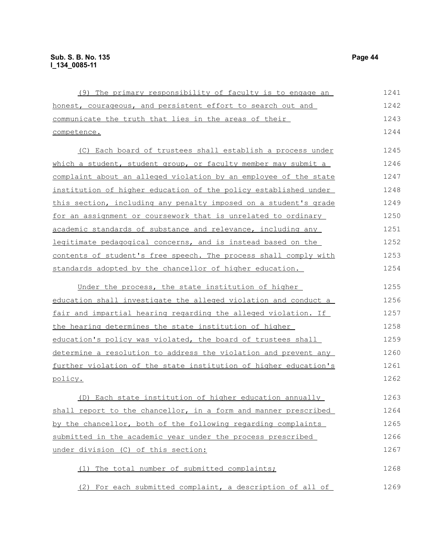| (9) The primary responsibility of faculty is to engage an        | 1241 |
|------------------------------------------------------------------|------|
| honest, courageous, and persistent effort to search out and      | 1242 |
| communicate the truth that lies in the areas of their            | 1243 |
| competence.                                                      | 1244 |
| (C) Each board of trustees shall establish a process under       | 1245 |
| which a student, student group, or faculty member may submit a   | 1246 |
| complaint about an alleged violation by an employee of the state | 1247 |
| institution of higher education of the policy established under  | 1248 |
| this section, including any penalty imposed on a student's grade | 1249 |
| for an assignment or coursework that is unrelated to ordinary    | 1250 |
| academic standards of substance and relevance, including any     | 1251 |
| legitimate pedagogical concerns, and is instead based on the     | 1252 |
| contents of student's free speech. The process shall comply with | 1253 |
| standards adopted by the chancellor of higher education.         | 1254 |
| Under the process, the state institution of higher               | 1255 |
| education shall investigate the alleged violation and conduct a  | 1256 |
| fair and impartial hearing regarding the alleged violation. If   | 1257 |
| the hearing determines the state institution of higher           | 1258 |
| education's policy was violated, the board of trustees shall     | 1259 |
| determine a resolution to address the violation and prevent any  | 1260 |
| further violation of the state institution of higher education's | 1261 |
| <u>policy.</u>                                                   | 1262 |
| (D) Each state institution of higher education annually          | 1263 |
| shall report to the chancellor, in a form and manner prescribed  | 1264 |
| by the chancellor, both of the following regarding complaints    | 1265 |
| submitted in the academic year under the process prescribed      | 1266 |
| under division (C) of this section:                              | 1267 |
| (1) The total number of submitted complaints;                    | 1268 |
| (2) For each submitted complaint, a description of all of        | 1269 |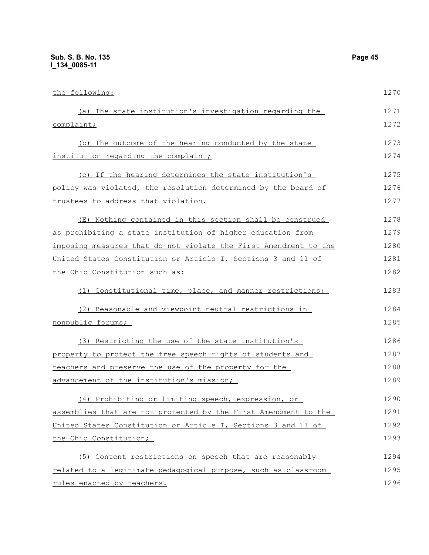the following: (a) The state institution's investigation regarding the complaint; (b) The outcome of the hearing conducted by the state institution regarding the complaint; (c) If the hearing determines the state institution's policy was violated, the resolution determined by the board of trustees to address that violation. (E) Nothing contained in this section shall be construed as prohibiting a state institution of higher education from imposing measures that do not violate the First Amendment to the United States Constitution or Article I, Sections 3 and 11 of the Ohio Constitution such as: (1) Constitutional time, place, and manner restrictions; (2) Reasonable and viewpoint-neutral restrictions in nonpublic forums; (3) Restricting the use of the state institution's property to protect the free speech rights of students and teachers and preserve the use of the property for the advancement of the institution's mission; (4) Prohibiting or limiting speech, expression, or assemblies that are not protected by the First Amendment to the United States Constitution or Article I, Sections 3 and 11 of the Ohio Constitution; (5) Content restrictions on speech that are reasonably related to a legitimate pedagogical purpose, such as classroom 1270 1271 1272 1273 1274 1275 1276 1277 1278 1279 1280 1281 1282 1283 1284 1285 1286 1287 1288 1289 1290 1291 1292 1293 1294 1295

rules enacted by teachers.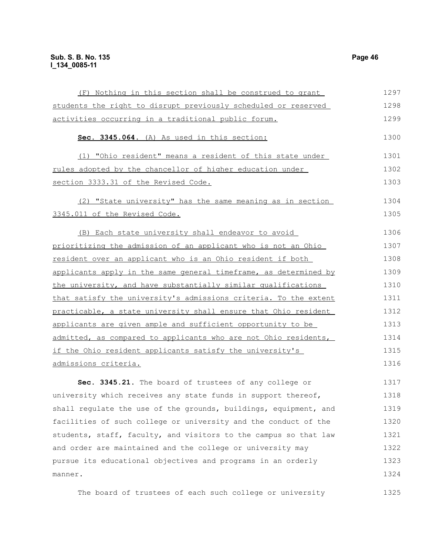| (F) Nothing in this section shall be construed to grant          | 1297 |
|------------------------------------------------------------------|------|
| students the right to disrupt previously scheduled or reserved   | 1298 |
| activities occurring in a traditional public forum.              | 1299 |
| Sec. 3345.064. (A) As used in this section:                      | 1300 |
| (1) "Ohio resident" means a resident of this state under         | 1301 |
| rules adopted by the chancellor of higher education under        | 1302 |
| section 3333.31 of the Revised Code.                             | 1303 |
| (2) "State university" has the same meaning as in section        | 1304 |
| 3345.011 of the Revised Code.                                    | 1305 |
| (B) Each state university shall endeavor to avoid                | 1306 |
| prioritizing the admission of an applicant who is not an Ohio    | 1307 |
| resident over an applicant who is an Ohio resident if both       | 1308 |
| applicants apply in the same general timeframe, as determined by | 1309 |
| the university, and have substantially similar qualifications    | 1310 |
| that satisfy the university's admissions criteria. To the extent | 1311 |
| practicable, a state university shall ensure that Ohio resident  | 1312 |
| applicants are given ample and sufficient opportunity to be      | 1313 |
| admitted, as compared to applicants who are not Ohio residents,  | 1314 |
| if the Ohio resident applicants satisfy the university's         | 1315 |
| admissions criteria.                                             | 1316 |
| Sec. 3345.21. The board of trustees of any college or            | 1317 |
| university which receives any state funds in support thereof,    | 1318 |
| shall regulate the use of the grounds, buildings, equipment, and | 1319 |
| facilities of such college or university and the conduct of the  | 1320 |
| students, staff, faculty, and visitors to the campus so that law | 1321 |
| and order are maintained and the college or university may       | 1322 |
| pursue its educational objectives and programs in an orderly     | 1323 |
| manner.                                                          | 1324 |

The board of trustees of each such college or university 1325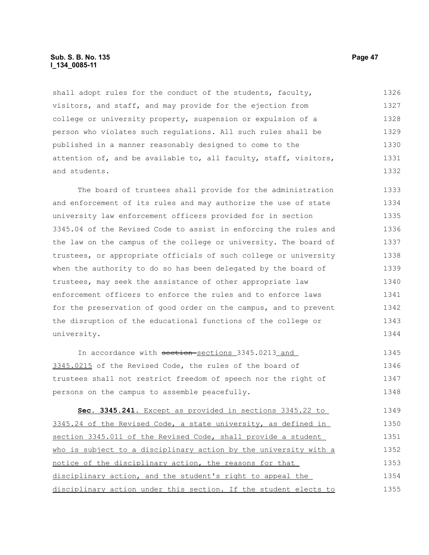#### **Sub. S. B. No. 135 Page 47 l\_134\_0085-11**

shall adopt rules for the conduct of the students, faculty, visitors, and staff, and may provide for the ejection from college or university property, suspension or expulsion of a person who violates such regulations. All such rules shall be published in a manner reasonably designed to come to the attention of, and be available to, all faculty, staff, visitors, and students. 1326 1327 1328 1329 1330 1331 1332

The board of trustees shall provide for the administration and enforcement of its rules and may authorize the use of state university law enforcement officers provided for in section 3345.04 of the Revised Code to assist in enforcing the rules and the law on the campus of the college or university. The board of trustees, or appropriate officials of such college or university when the authority to do so has been delegated by the board of trustees, may seek the assistance of other appropriate law enforcement officers to enforce the rules and to enforce laws for the preservation of good order on the campus, and to prevent the disruption of the educational functions of the college or university. 1333 1334 1335 1336 1337 1338 1339 1340 1341 1342 1343 1344

In accordance with section-sections 3345.0213 and 3345.0215 of the Revised Code, the rules of the board of trustees shall not restrict freedom of speech nor the right of persons on the campus to assemble peacefully. 1345 1346 1347 1348

 **Sec. 3345.241.** Except as provided in sections 3345.22 to 3345.24 of the Revised Code, a state university, as defined in section 3345.011 of the Revised Code, shall provide a student who is subject to a disciplinary action by the university with a notice of the disciplinary action, the reasons for that disciplinary action, and the student's right to appeal the disciplinary action under this section. If the student elects to 1349 1350 1351 1352 1353 1354 1355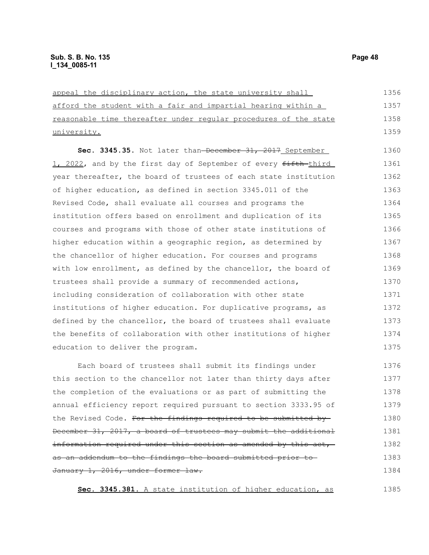| appeal the disciplinary action, the state university shall       | 1356 |
|------------------------------------------------------------------|------|
| afford the student with a fair and impartial hearing within a    | 1357 |
| reasonable time thereafter under reqular procedures of the state | 1358 |
| <u>university.</u>                                               | 1359 |
| Sec. 3345.35. Not later than-December 31, 2017 September         | 1360 |
| 1, 2022, and by the first day of September of every fifth-third  | 1361 |
| year thereafter, the board of trustees of each state institution | 1362 |
| of higher education, as defined in section 3345.011 of the       | 1363 |
| Revised Code, shall evaluate all courses and programs the        | 1364 |
| institution offers based on enrollment and duplication of its    | 1365 |
| courses and programs with those of other state institutions of   | 1366 |
| higher education within a geographic region, as determined by    | 1367 |
| the chancellor of higher education. For courses and programs     | 1368 |
| with low enrollment, as defined by the chancellor, the board of  | 1369 |
| trustees shall provide a summary of recommended actions,         | 1370 |
| including consideration of collaboration with other state        | 1371 |
| institutions of higher education. For duplicative programs, as   | 1372 |
| defined by the chancellor, the board of trustees shall evaluate  | 1373 |
| the benefits of collaboration with other institutions of higher  | 1374 |
| education to deliver the program.                                | 1375 |
| Each board of trustees shall submit its findings under           | 1376 |
| this section to the chancellor not later than thirty days after  | 1377 |

this section to the chancellor not later than thirty days after the completion of the evaluations or as part of submitting the annual efficiency report required pursuant to section 3333.95 of the Revised Code. For the findings required to be submitted by December 31, 2017, a board of trustees may submit the additional information required under this section as amended by this act, as an addendum to the findings the board submitted prior to January 1, 2016, under former law. 1377 1378 1379 1380 1381 1382 1383 1384

**Sec. 3345.381.** A state institution of higher education, as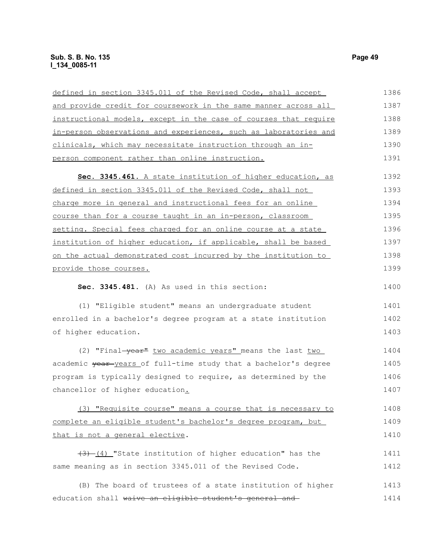# **Sub. S. B. No. 135** Page 49 **l\_134\_0085-11**

| defined in section 3345.011 of the Revised Code, shall accept    | 1386 |
|------------------------------------------------------------------|------|
| and provide credit for coursework in the same manner across all  | 1387 |
| instructional models, except in the case of courses that require | 1388 |
| in-person observations and experiences, such as laboratories and | 1389 |
| clinicals, which may necessitate instruction through an in-      | 1390 |
| person component rather than online instruction.                 | 1391 |
| Sec. 3345.461. A state institution of higher education, as       | 1392 |
| defined in section 3345.011 of the Revised Code, shall not       | 1393 |
| charge more in general and instructional fees for an online      | 1394 |
| course than for a course taught in an in-person, classroom       | 1395 |
| setting. Special fees charged for an online course at a state    | 1396 |
| institution of higher education, if applicable, shall be based   | 1397 |
| on the actual demonstrated cost incurred by the institution to   | 1398 |
| provide those courses.                                           | 1399 |
| Sec. 3345.481. (A) As used in this section:                      | 1400 |
| (1) "Eligible student" means an undergraduate student            | 1401 |
| enrolled in a bachelor's degree program at a state institution   | 1402 |
| of higher education.                                             | 1403 |
| (2) "Final-year" two academic years" means the last two          | 1404 |
| academic year-years of full-time study that a bachelor's degree  | 1405 |
| program is typically designed to require, as determined by the   | 1406 |
| chancellor of higher education.                                  | 1407 |
| (3) "Requisite course" means a course that is necessary to       | 1408 |
| complete an eligible student's bachelor's degree program, but    | 1409 |
| that is not a general elective.                                  | 1410 |
| $(3)$ $(4)$ "State institution of higher education" has the      | 1411 |
| same meaning as in section 3345.011 of the Revised Code.         | 1412 |
| (B) The board of trustees of a state institution of higher       | 1413 |
| education shall waive an eligible student's general and          | 1414 |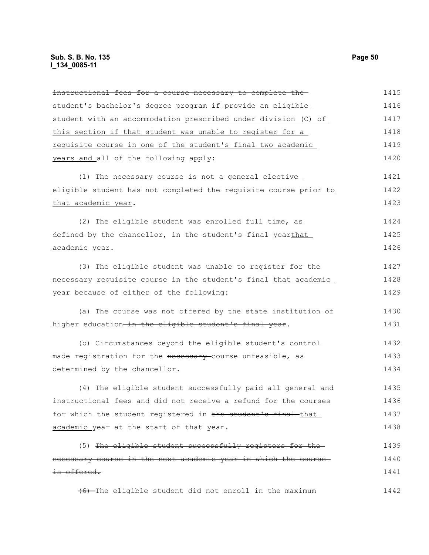| instructional fees for a course necessary to complete the        | 1415 |
|------------------------------------------------------------------|------|
| student's bachelor's degree program if provide an eligible       | 1416 |
| student with an accommodation prescribed under division (C) of   | 1417 |
| this section if that student was unable to register for a        | 1418 |
| requisite course in one of the student's final two academic      | 1419 |
| years and all of the following apply:                            | 1420 |
| (1) The necessary course is not a general elective               | 1421 |
| eligible student has not completed the requisite course prior to | 1422 |
| that academic year.                                              | 1423 |
| (2) The eligible student was enrolled full time, as              | 1424 |
| defined by the chancellor, in the student's final yearthat       | 1425 |
| academic year.                                                   | 1426 |
| (3) The eligible student was unable to register for the          | 1427 |
| necessary requisite course in the student's final that academic  | 1428 |
| year because of either of the following:                         | 1429 |
| (a) The course was not offered by the state institution of       | 1430 |
| higher education-in the eligible student's final year.           | 1431 |
| (b) Circumstances beyond the eligible student's control          | 1432 |
| made registration for the necessary course unfeasible, as        | 1433 |
| determined by the chancellor.                                    | 1434 |
| (4) The eligible student successfully paid all general and       | 1435 |
| instructional fees and did not receive a refund for the courses  | 1436 |
| for which the student registered in the student's final that     | 1437 |
| academic year at the start of that year.                         | 1438 |
| (5) The eligible student successfully registers for the          | 1439 |
| necessary course in the next academic year in which the course   | 1440 |
| <del>is offered.</del>                                           | 1441 |
| $(6)$ -The eligible student did not enroll in the maximum        | 1442 |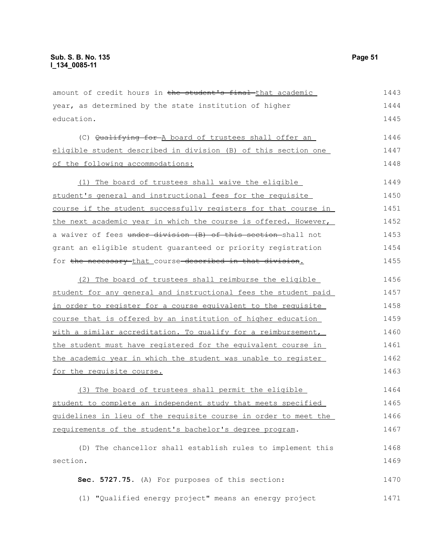amount of credit hours in the student's final that academic year, as determined by the state institution of higher education. (C) Qualifying for A board of trustees shall offer an eligible student described in division (B) of this section one of the following accommodations: (1) The board of trustees shall waive the eligible student's general and instructional fees for the requisite course if the student successfully registers for that course in the next academic year in which the course is offered. However, a waiver of fees under division (B) of this section shall not grant an eligible student guaranteed or priority registration for the necessary that course described in that division. (2) The board of trustees shall reimburse the eligible student for any general and instructional fees the student paid in order to register for a course equivalent to the requisite course that is offered by an institution of higher education with a similar accreditation. To qualify for a reimbursement, the student must have registered for the equivalent course in the academic year in which the student was unable to register for the requisite course. (3) The board of trustees shall permit the eligible student to complete an independent study that meets specified guidelines in lieu of the requisite course in order to meet the requirements of the student's bachelor's degree program. (D) The chancellor shall establish rules to implement this section. **Sec. 5727.75.** (A) For purposes of this section: 1443 1444 1445 1446 1447 1448 1449 1450 1451 1452 1453 1454 1455 1456 1457 1458 1459 1460 1461 1462 1463 1464 1465 1466 1467 1468 1469 1470

(1) "Qualified energy project" means an energy project 1471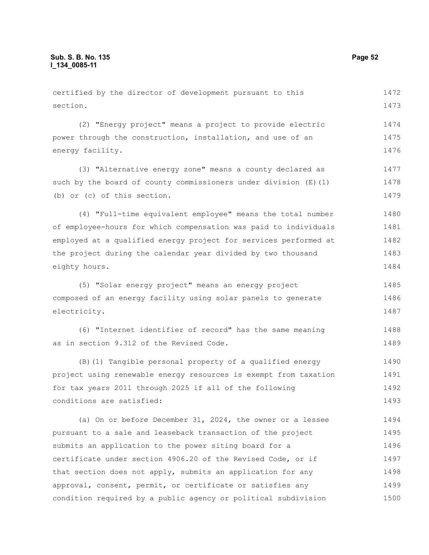section.

(2) "Energy project" means a project to provide electric power through the construction, installation, and use of an energy facility. 1474 1475 1476

(3) "Alternative energy zone" means a county declared as such by the board of county commissioners under division (E)(1) (b) or (c) of this section. 1477 1478 1479

(4) "Full-time equivalent employee" means the total number of employee-hours for which compensation was paid to individuals employed at a qualified energy project for services performed at the project during the calendar year divided by two thousand eighty hours. 1480 1481 1482 1483 1484

(5) "Solar energy project" means an energy project composed of an energy facility using solar panels to generate electricity. 1485 1486 1487

(6) "Internet identifier of record" has the same meaning as in section 9.312 of the Revised Code. 1488 1489

(B)(1) Tangible personal property of a qualified energy project using renewable energy resources is exempt from taxation for tax years 2011 through 2025 if all of the following conditions are satisfied: 1490 1491 1492 1493

(a) On or before December 31, 2024, the owner or a lessee pursuant to a sale and leaseback transaction of the project submits an application to the power siting board for a certificate under section 4906.20 of the Revised Code, or if that section does not apply, submits an application for any approval, consent, permit, or certificate or satisfies any condition required by a public agency or political subdivision 1494 1495 1496 1497 1498 1499 1500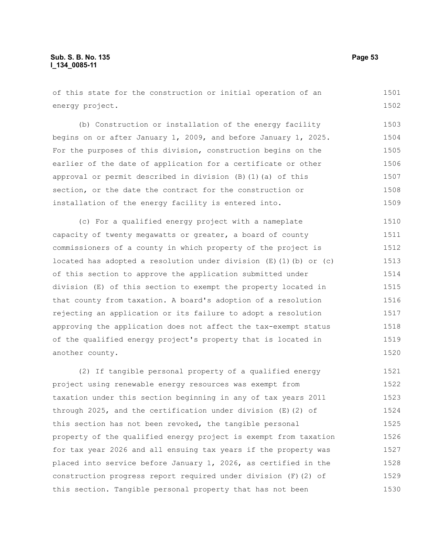of this state for the construction or initial operation of an energy project. 1501 1502

(b) Construction or installation of the energy facility begins on or after January 1, 2009, and before January 1, 2025. For the purposes of this division, construction begins on the earlier of the date of application for a certificate or other approval or permit described in division (B)(1)(a) of this section, or the date the contract for the construction or installation of the energy facility is entered into. 1503 1504 1505 1506 1507 1508 1509

(c) For a qualified energy project with a nameplate capacity of twenty megawatts or greater, a board of county commissioners of a county in which property of the project is located has adopted a resolution under division  $(E)$  (1)(b) or (c) of this section to approve the application submitted under division (E) of this section to exempt the property located in that county from taxation. A board's adoption of a resolution rejecting an application or its failure to adopt a resolution approving the application does not affect the tax-exempt status of the qualified energy project's property that is located in another county. 1510 1511 1512 1513 1514 1515 1516 1517 1518 1519 1520

(2) If tangible personal property of a qualified energy project using renewable energy resources was exempt from taxation under this section beginning in any of tax years 2011 through 2025, and the certification under division (E)(2) of this section has not been revoked, the tangible personal property of the qualified energy project is exempt from taxation for tax year 2026 and all ensuing tax years if the property was placed into service before January 1, 2026, as certified in the construction progress report required under division (F)(2) of this section. Tangible personal property that has not been 1521 1522 1523 1524 1525 1526 1527 1528 1529 1530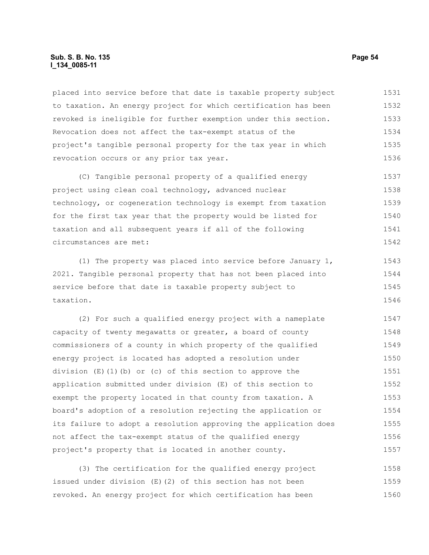#### **Sub. S. B. No. 135 Page 54 l\_134\_0085-11**

placed into service before that date is taxable property subject to taxation. An energy project for which certification has been revoked is ineligible for further exemption under this section. Revocation does not affect the tax-exempt status of the project's tangible personal property for the tax year in which revocation occurs or any prior tax year. 1531 1532 1533 1534 1535 1536

(C) Tangible personal property of a qualified energy project using clean coal technology, advanced nuclear technology, or cogeneration technology is exempt from taxation for the first tax year that the property would be listed for taxation and all subsequent years if all of the following circumstances are met: 1537 1538 1539 1540 1541 1542

(1) The property was placed into service before January 1, 2021. Tangible personal property that has not been placed into service before that date is taxable property subject to taxation. 1543 1544 1545 1546

(2) For such a qualified energy project with a nameplate capacity of twenty megawatts or greater, a board of county commissioners of a county in which property of the qualified energy project is located has adopted a resolution under division  $(E)(1)(b)$  or (c) of this section to approve the application submitted under division (E) of this section to exempt the property located in that county from taxation. A board's adoption of a resolution rejecting the application or its failure to adopt a resolution approving the application does not affect the tax-exempt status of the qualified energy project's property that is located in another county. 1547 1548 1549 1550 1551 1552 1553 1554 1555 1556 1557

(3) The certification for the qualified energy project issued under division (E)(2) of this section has not been revoked. An energy project for which certification has been 1558 1559 1560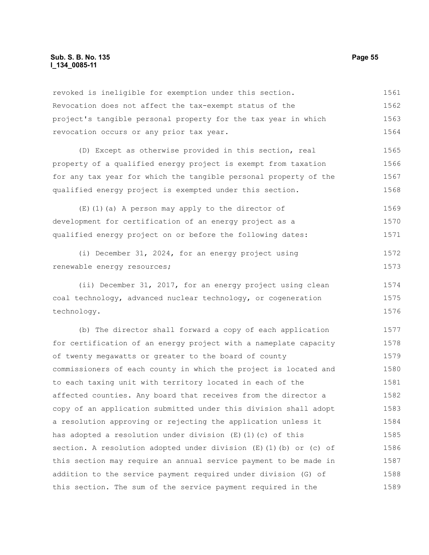#### **Sub. S. B. No. 135 Page 55 l\_134\_0085-11**

revoked is ineligible for exemption under this section. Revocation does not affect the tax-exempt status of the project's tangible personal property for the tax year in which revocation occurs or any prior tax year. 1561 1562 1563 1564

(D) Except as otherwise provided in this section, real property of a qualified energy project is exempt from taxation for any tax year for which the tangible personal property of the qualified energy project is exempted under this section. 1565 1566 1567 1568

(E)(1)(a) A person may apply to the director of development for certification of an energy project as a qualified energy project on or before the following dates: 1569 1570 1571

(i) December 31, 2024, for an energy project using renewable energy resources; 1572 1573

(ii) December 31, 2017, for an energy project using clean coal technology, advanced nuclear technology, or cogeneration technology. 1574 1575 1576

(b) The director shall forward a copy of each application for certification of an energy project with a nameplate capacity of twenty megawatts or greater to the board of county commissioners of each county in which the project is located and to each taxing unit with territory located in each of the affected counties. Any board that receives from the director a copy of an application submitted under this division shall adopt a resolution approving or rejecting the application unless it has adopted a resolution under division (E)(1)(c) of this section. A resolution adopted under division  $(E)$  (1)(b) or (c) of this section may require an annual service payment to be made in addition to the service payment required under division (G) of this section. The sum of the service payment required in the 1577 1578 1579 1580 1581 1582 1583 1584 1585 1586 1587 1588 1589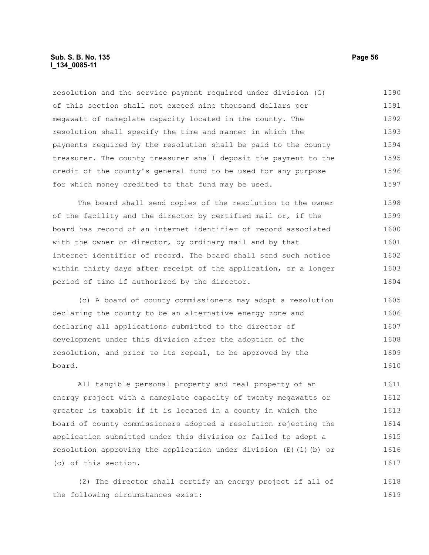#### **Sub. S. B. No. 135 Page 56 l\_134\_0085-11**

resolution and the service payment required under division (G) of this section shall not exceed nine thousand dollars per megawatt of nameplate capacity located in the county. The resolution shall specify the time and manner in which the payments required by the resolution shall be paid to the county treasurer. The county treasurer shall deposit the payment to the credit of the county's general fund to be used for any purpose for which money credited to that fund may be used. 1590 1591 1592 1593 1594 1595 1596 1597

The board shall send copies of the resolution to the owner of the facility and the director by certified mail or, if the board has record of an internet identifier of record associated with the owner or director, by ordinary mail and by that internet identifier of record. The board shall send such notice within thirty days after receipt of the application, or a longer period of time if authorized by the director. 1598 1599 1600 1601 1602 1603 1604

(c) A board of county commissioners may adopt a resolution declaring the county to be an alternative energy zone and declaring all applications submitted to the director of development under this division after the adoption of the resolution, and prior to its repeal, to be approved by the board. 1605 1606 1607 1608 1609 1610

All tangible personal property and real property of an energy project with a nameplate capacity of twenty megawatts or greater is taxable if it is located in a county in which the board of county commissioners adopted a resolution rejecting the application submitted under this division or failed to adopt a resolution approving the application under division  $(E)$  (1)(b) or (c) of this section. 1611 1612 1613 1614 1615 1616 1617

(2) The director shall certify an energy project if all of the following circumstances exist: 1618 1619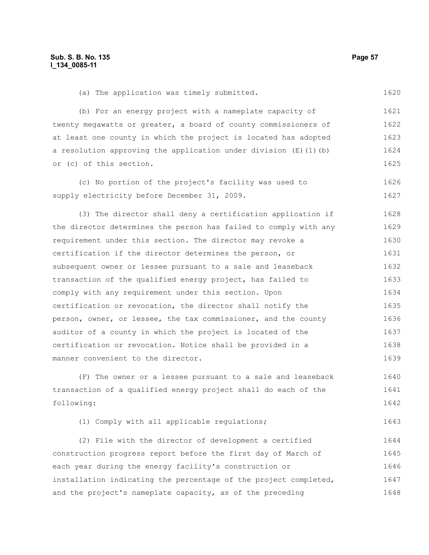(a) The application was timely submitted.

1620

(b) For an energy project with a nameplate capacity of twenty megawatts or greater, a board of county commissioners of at least one county in which the project is located has adopted a resolution approving the application under division  $(E)$  (1)(b) or (c) of this section. 1621 1622 1623 1624 1625

(c) No portion of the project's facility was used to supply electricity before December 31, 2009. 1626 1627

(3) The director shall deny a certification application if the director determines the person has failed to comply with any requirement under this section. The director may revoke a certification if the director determines the person, or subsequent owner or lessee pursuant to a sale and leaseback transaction of the qualified energy project, has failed to comply with any requirement under this section. Upon certification or revocation, the director shall notify the person, owner, or lessee, the tax commissioner, and the county auditor of a county in which the project is located of the certification or revocation. Notice shall be provided in a manner convenient to the director. 1628 1629 1630 1631 1632 1633 1634 1635 1636 1637 1638 1639

(F) The owner or a lessee pursuant to a sale and leaseback transaction of a qualified energy project shall do each of the following: 1640 1641 1642

(1) Comply with all applicable regulations; 1643

(2) File with the director of development a certified construction progress report before the first day of March of each year during the energy facility's construction or installation indicating the percentage of the project completed, and the project's nameplate capacity, as of the preceding 1644 1645 1646 1647 1648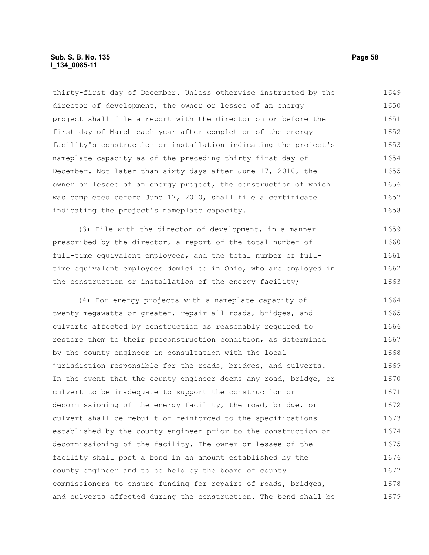#### **Sub. S. B. No. 135 Page 58 l\_134\_0085-11**

thirty-first day of December. Unless otherwise instructed by the director of development, the owner or lessee of an energy project shall file a report with the director on or before the first day of March each year after completion of the energy facility's construction or installation indicating the project's nameplate capacity as of the preceding thirty-first day of December. Not later than sixty days after June 17, 2010, the owner or lessee of an energy project, the construction of which was completed before June 17, 2010, shall file a certificate indicating the project's nameplate capacity. 1649 1650 1651 1652 1653 1654 1655 1656 1657 1658

(3) File with the director of development, in a manner prescribed by the director, a report of the total number of full-time equivalent employees, and the total number of fulltime equivalent employees domiciled in Ohio, who are employed in the construction or installation of the energy facility; 1659 1660 1661 1662 1663

(4) For energy projects with a nameplate capacity of twenty megawatts or greater, repair all roads, bridges, and culverts affected by construction as reasonably required to restore them to their preconstruction condition, as determined by the county engineer in consultation with the local jurisdiction responsible for the roads, bridges, and culverts. In the event that the county engineer deems any road, bridge, or culvert to be inadequate to support the construction or decommissioning of the energy facility, the road, bridge, or culvert shall be rebuilt or reinforced to the specifications established by the county engineer prior to the construction or decommissioning of the facility. The owner or lessee of the facility shall post a bond in an amount established by the county engineer and to be held by the board of county commissioners to ensure funding for repairs of roads, bridges, and culverts affected during the construction. The bond shall be 1664 1665 1666 1667 1668 1669 1670 1671 1672 1673 1674 1675 1676 1677 1678 1679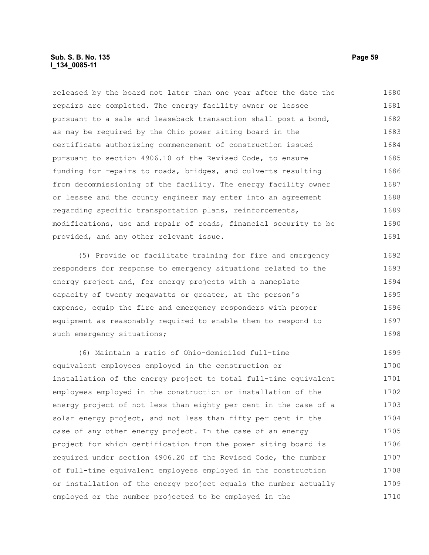#### **Sub. S. B. No. 135 Page 59 l\_134\_0085-11**

released by the board not later than one year after the date the repairs are completed. The energy facility owner or lessee pursuant to a sale and leaseback transaction shall post a bond, as may be required by the Ohio power siting board in the certificate authorizing commencement of construction issued pursuant to section 4906.10 of the Revised Code, to ensure funding for repairs to roads, bridges, and culverts resulting from decommissioning of the facility. The energy facility owner or lessee and the county engineer may enter into an agreement regarding specific transportation plans, reinforcements, modifications, use and repair of roads, financial security to be provided, and any other relevant issue. 1680 1681 1682 1683 1684 1685 1686 1687 1688 1689 1690 1691

(5) Provide or facilitate training for fire and emergency responders for response to emergency situations related to the energy project and, for energy projects with a nameplate capacity of twenty megawatts or greater, at the person's expense, equip the fire and emergency responders with proper equipment as reasonably required to enable them to respond to such emergency situations; 1692 1693 1694 1695 1696 1697 1698

(6) Maintain a ratio of Ohio-domiciled full-time equivalent employees employed in the construction or installation of the energy project to total full-time equivalent employees employed in the construction or installation of the energy project of not less than eighty per cent in the case of a solar energy project, and not less than fifty per cent in the case of any other energy project. In the case of an energy project for which certification from the power siting board is required under section 4906.20 of the Revised Code, the number of full-time equivalent employees employed in the construction or installation of the energy project equals the number actually employed or the number projected to be employed in the 1699 1700 1701 1702 1703 1704 1705 1706 1707 1708 1709 1710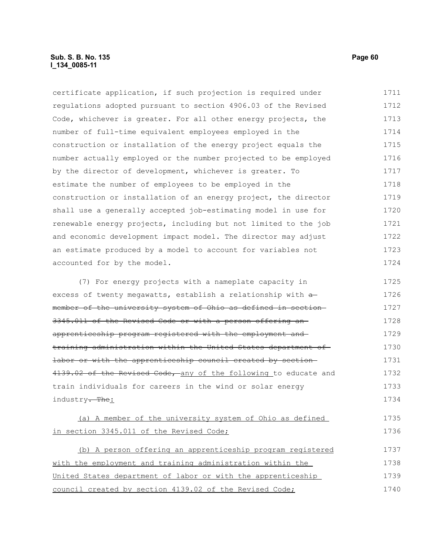### **Sub. S. B. No. 135 Page 60 l\_134\_0085-11**

certificate application, if such projection is required under regulations adopted pursuant to section 4906.03 of the Revised Code, whichever is greater. For all other energy projects, the number of full-time equivalent employees employed in the construction or installation of the energy project equals the number actually employed or the number projected to be employed by the director of development, whichever is greater. To estimate the number of employees to be employed in the construction or installation of an energy project, the director shall use a generally accepted job-estimating model in use for renewable energy projects, including but not limited to the job and economic development impact model. The director may adjust an estimate produced by a model to account for variables not accounted for by the model. (7) For energy projects with a nameplate capacity in 1711 1712 1713 1714 1715 1716 1717 1718 1719 1720 1721 1722 1723 1724 1725

excess of twenty megawatts, establish a relationship with  $\triangleleft$ member of the university system of Ohio as defined in section 3345.011 of the Revised Code or with a person offering an apprenticeship program registered with the employment and training administration within the United States department of labor or with the apprenticeship council created by section 4139.02 of the Revised Code, any of the following to educate and train individuals for careers in the wind or solar energy industry<del>. The</del>: 1726 1727 1728 1729 1730 1731 1732 1733 1734

(a) A member of the university system of Ohio as defined in section 3345.011 of the Revised Code; 1735 1736

(b) A person offering an apprenticeship program registered with the employment and training administration within the United States department of labor or with the apprenticeship council created by section 4139.02 of the Revised Code; 1737 1738 1739 1740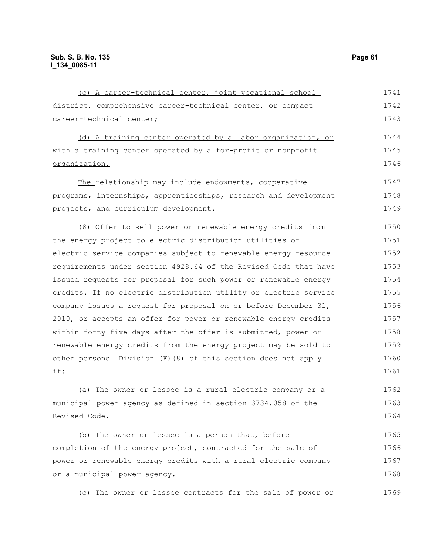| (c) A career-technical center, joint vocational school           | 1741 |
|------------------------------------------------------------------|------|
| district, comprehensive career-technical center, or compact      | 1742 |
| career-technical center;                                         | 1743 |
| (d) A training center operated by a labor organization, or       | 1744 |
| with a training center operated by a for-profit or nonprofit     | 1745 |
| organization.                                                    | 1746 |
| The relationship may include endowments, cooperative             | 1747 |
| programs, internships, apprenticeships, research and development | 1748 |
| projects, and curriculum development.                            | 1749 |
| (8) Offer to sell power or renewable energy credits from         | 1750 |
| the energy project to electric distribution utilities or         | 1751 |
| electric service companies subject to renewable energy resource  | 1752 |
| requirements under section 4928.64 of the Revised Code that have | 1753 |
| issued requests for proposal for such power or renewable energy  | 1754 |
| credits. If no electric distribution utility or electric service | 1755 |
| company issues a request for proposal on or before December 31,  | 1756 |
| 2010, or accepts an offer for power or renewable energy credits  | 1757 |
| within forty-five days after the offer is submitted, power or    | 1758 |
| renewable energy credits from the energy project may be sold to  | 1759 |
| other persons. Division (F) (8) of this section does not apply   | 1760 |
| if:                                                              | 1761 |
| (a) The owner or lessee is a rural electric company or a         | 1762 |
| municipal power agency as defined in section 3734.058 of the     | 1763 |
| Revised Code.                                                    | 1764 |
| (b) The owner or lessee is a person that, before                 | 1765 |
| completion of the energy project, contracted for the sale of     | 1766 |

power or renewable energy credits with a rural electric company or a municipal power agency. 1767 1768

(c) The owner or lessee contracts for the sale of power or 1769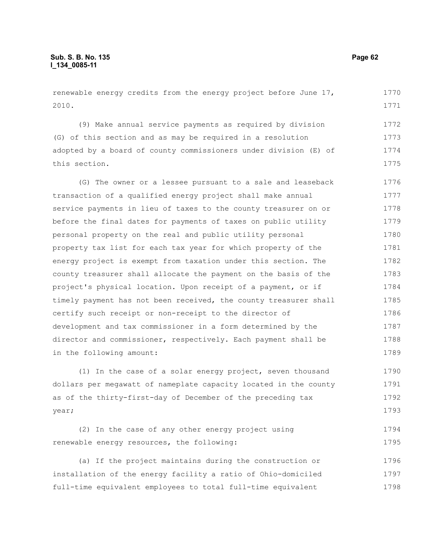renewable energy credits from the energy project before June 17, 2010. 1770 1771

(9) Make annual service payments as required by division (G) of this section and as may be required in a resolution adopted by a board of county commissioners under division (E) of this section. 1772 1773 1774 1775

(G) The owner or a lessee pursuant to a sale and leaseback transaction of a qualified energy project shall make annual service payments in lieu of taxes to the county treasurer on or before the final dates for payments of taxes on public utility personal property on the real and public utility personal property tax list for each tax year for which property of the energy project is exempt from taxation under this section. The county treasurer shall allocate the payment on the basis of the project's physical location. Upon receipt of a payment, or if timely payment has not been received, the county treasurer shall certify such receipt or non-receipt to the director of development and tax commissioner in a form determined by the director and commissioner, respectively. Each payment shall be in the following amount: 1776 1777 1778 1779 1780 1781 1782 1783 1784 1785 1786 1787 1788 1789

(1) In the case of a solar energy project, seven thousand dollars per megawatt of nameplate capacity located in the county as of the thirty-first-day of December of the preceding tax year; 1790 1791 1792 1793

|  | (2) In the case of any other energy project using |  |  | 1794 |
|--|---------------------------------------------------|--|--|------|
|  | renewable energy resources, the following:        |  |  | 1795 |

(a) If the project maintains during the construction or installation of the energy facility a ratio of Ohio-domiciled full-time equivalent employees to total full-time equivalent 1796 1797 1798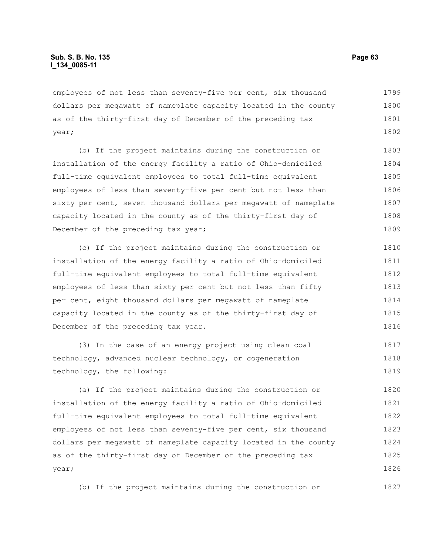employees of not less than seventy-five per cent, six thousand dollars per megawatt of nameplate capacity located in the county as of the thirty-first day of December of the preceding tax year; 1799 1800 1801 1802

(b) If the project maintains during the construction or installation of the energy facility a ratio of Ohio-domiciled full-time equivalent employees to total full-time equivalent employees of less than seventy-five per cent but not less than sixty per cent, seven thousand dollars per megawatt of nameplate capacity located in the county as of the thirty-first day of December of the preceding tax year; 1803 1804 1805 1806 1807 1808 1809

(c) If the project maintains during the construction or installation of the energy facility a ratio of Ohio-domiciled full-time equivalent employees to total full-time equivalent employees of less than sixty per cent but not less than fifty per cent, eight thousand dollars per megawatt of nameplate capacity located in the county as of the thirty-first day of December of the preceding tax year. 1810 1811 1812 1813 1814 1815 1816

(3) In the case of an energy project using clean coal technology, advanced nuclear technology, or cogeneration technology, the following: 1817 1818 1819

(a) If the project maintains during the construction or installation of the energy facility a ratio of Ohio-domiciled full-time equivalent employees to total full-time equivalent employees of not less than seventy-five per cent, six thousand dollars per megawatt of nameplate capacity located in the county as of the thirty-first day of December of the preceding tax year; 1820 1821 1822 1823 1824 1825 1826

(b) If the project maintains during the construction or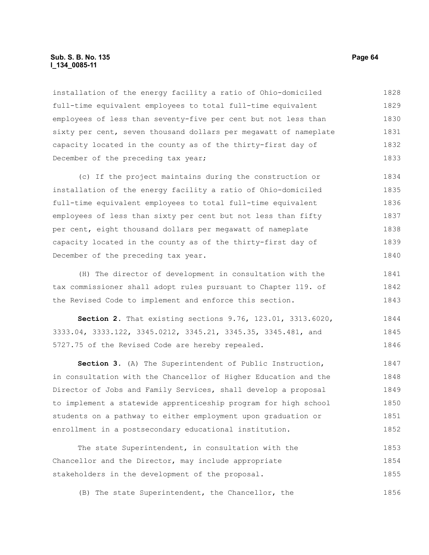#### **Sub. S. B. No. 135 Page 64 l\_134\_0085-11**

installation of the energy facility a ratio of Ohio-domiciled full-time equivalent employees to total full-time equivalent employees of less than seventy-five per cent but not less than sixty per cent, seven thousand dollars per megawatt of nameplate capacity located in the county as of the thirty-first day of December of the preceding tax year; 1828 1829 1830 1831 1832 1833

(c) If the project maintains during the construction or installation of the energy facility a ratio of Ohio-domiciled full-time equivalent employees to total full-time equivalent employees of less than sixty per cent but not less than fifty per cent, eight thousand dollars per megawatt of nameplate capacity located in the county as of the thirty-first day of December of the preceding tax year. 1834 1835 1836 1837 1838 1839 1840

(H) The director of development in consultation with the tax commissioner shall adopt rules pursuant to Chapter 119. of the Revised Code to implement and enforce this section. 1841 1842 1843

**Section 2.** That existing sections 9.76, 123.01, 3313.6020, 3333.04, 3333.122, 3345.0212, 3345.21, 3345.35, 3345.481, and 5727.75 of the Revised Code are hereby repealed. 1844 1845 1846

**Section 3.** (A) The Superintendent of Public Instruction, in consultation with the Chancellor of Higher Education and the Director of Jobs and Family Services, shall develop a proposal to implement a statewide apprenticeship program for high school students on a pathway to either employment upon graduation or enrollment in a postsecondary educational institution. 1847 1848 1849 1850 1851 1852

The state Superintendent, in consultation with the Chancellor and the Director, may include appropriate stakeholders in the development of the proposal. 1853 1854 1855

(B) The state Superintendent, the Chancellor, the 1856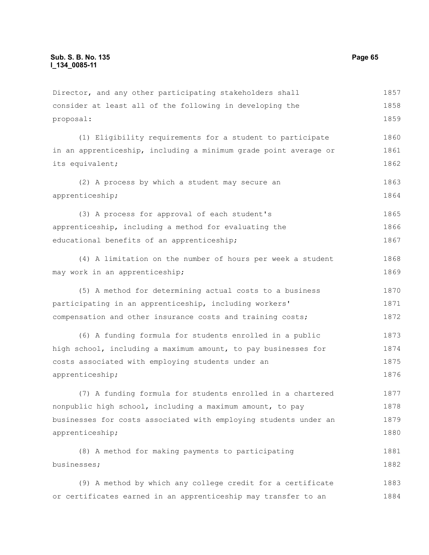| Director, and any other participating stakeholders shall         | 1857 |
|------------------------------------------------------------------|------|
| consider at least all of the following in developing the         | 1858 |
| proposal:                                                        | 1859 |
| (1) Eligibility requirements for a student to participate        | 1860 |
| in an apprenticeship, including a minimum grade point average or | 1861 |
| its equivalent;                                                  | 1862 |
| (2) A process by which a student may secure an                   | 1863 |
| apprenticeship;                                                  | 1864 |
| (3) A process for approval of each student's                     | 1865 |
| apprenticeship, including a method for evaluating the            | 1866 |
| educational benefits of an apprenticeship;                       | 1867 |
| (4) A limitation on the number of hours per week a student       | 1868 |
| may work in an apprenticeship;                                   | 1869 |
| (5) A method for determining actual costs to a business          | 1870 |
| participating in an apprenticeship, including workers'           | 1871 |
| compensation and other insurance costs and training costs;       | 1872 |
| (6) A funding formula for students enrolled in a public          | 1873 |
| high school, including a maximum amount, to pay businesses for   | 1874 |
| costs associated with employing students under an                | 1875 |
| apprenticeship;                                                  | 1876 |
| (7) A funding formula for students enrolled in a chartered       | 1877 |
| nonpublic high school, including a maximum amount, to pay        | 1878 |
| businesses for costs associated with employing students under an | 1879 |
| apprenticeship;                                                  | 1880 |
| (8) A method for making payments to participating                | 1881 |
| businesses;                                                      | 1882 |
| (9) A method by which any college credit for a certificate       | 1883 |
| or certificates earned in an apprenticeship may transfer to an   | 1884 |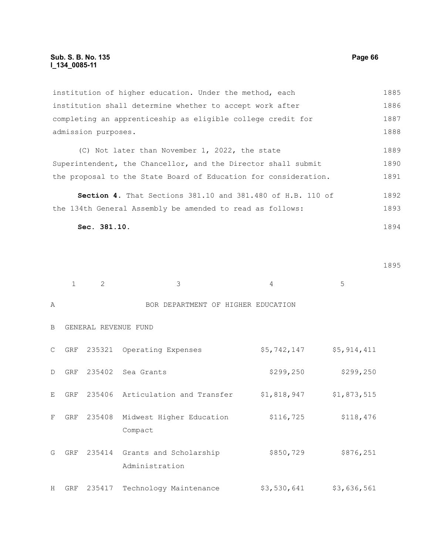institution of higher education. Under the method, each institution shall determine whether to accept work after completing an apprenticeship as eligible college credit for admission purposes. 1885 1886 1887 1888

(C) Not later than November 1, 2022, the state Superintendent, the Chancellor, and the Director shall submit the proposal to the State Board of Education for consideration. 1889 1890 1891

**Section 4.** That Sections 381.10 and 381.480 of H.B. 110 of the 134th General Assembly be amended to read as follows: 1892 1893

$$
{\tt Sec.}\ 381.10.
$$

1895

|              | $\mathbf{1}$ | 2      | 3                                               | 4           | 5           |
|--------------|--------------|--------|-------------------------------------------------|-------------|-------------|
| Α            |              |        | BOR DEPARTMENT OF HIGHER EDUCATION              |             |             |
| B            |              |        | GENERAL REVENUE FUND                            |             |             |
| $\mathsf{C}$ | GRF          |        | 235321 Operating Expenses                       | \$5,742,147 | \$5,914,411 |
| D            | GRF          |        | 235402 Sea Grants                               | \$299, 250  | \$299, 250  |
| E            | GRF          |        | 235406 Articulation and Transfer                | \$1,818,947 | \$1,873,515 |
| F            | <b>GRF</b>   | 235408 | Midwest Higher Education<br>Compact             | \$116, 725  | \$118,476   |
| G            | GRF          |        | 235414 Grants and Scholarship<br>Administration | \$850,729   | \$876,251   |
| H            | GRF          | 235417 | Technology Maintenance                          | \$3,530,641 | \$3,636,561 |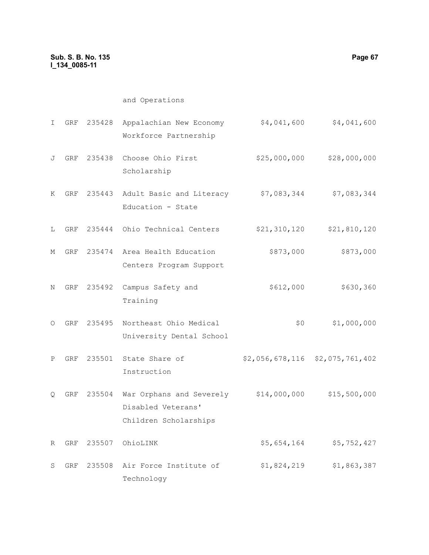| I.           | GRF        |        | 235428 Appalachian New Economy<br>Workforce Partnership                              | \$4,041,600                     | \$4,041,600  |
|--------------|------------|--------|--------------------------------------------------------------------------------------|---------------------------------|--------------|
| J            | GRF        |        | 235438 Choose Ohio First<br>Scholarship                                              | \$25,000,000                    | \$28,000,000 |
| Κ            | GRF        | 235443 | Adult Basic and Literacy<br>Education - State                                        | \$7,083,344                     | \$7,083,344  |
| L            |            |        | GRF 235444 Ohio Technical Centers                                                    | \$21,310,120                    | \$21,810,120 |
| М            |            |        | GRF 235474 Area Health Education<br>Centers Program Support                          | \$873,000                       | \$873,000    |
| Ν            | GRF        | 235492 | Campus Safety and<br>Training                                                        | \$612,000                       | \$630,360    |
| O            | GRF        |        | 235495 Northeast Ohio Medical<br>University Dental School                            | \$0\$                           | \$1,000,000  |
| $\, {\bf P}$ | GRF        |        | 235501 State Share of<br>Instruction                                                 | \$2,056,678,116 \$2,075,761,402 |              |
| Q            | <b>GRF</b> | 235504 | War Orphans and Severely \$14,000,000<br>Disabled Veterans'<br>Children Scholarships |                                 | \$15,500,000 |
| R            | GRF        | 235507 | OhioLINK                                                                             | \$5,654,164                     | \$5,752,427  |
| S            | GRF        | 235508 | Air Force Institute of<br>Technology                                                 | \$1,824,219                     | \$1,863,387  |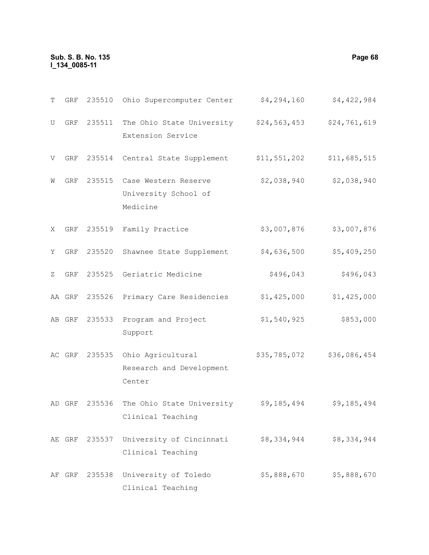# **Sub. S. B. No. 135 Page 68 l\_134\_0085-11**

| Т | GRF    | 235510 | Ohio Supercomputer Center                                              | \$4,294,160  | \$4,422,984  |
|---|--------|--------|------------------------------------------------------------------------|--------------|--------------|
| U |        |        | GRF 235511 The Ohio State University \$24,563,453<br>Extension Service |              | \$24,761,619 |
| V | GRF    | 235514 | Central State Supplement                                               | \$11,551,202 | \$11,685,515 |
| W | GRF    | 235515 | Case Western Reserve<br>University School of<br>Medicine               | \$2,038,940  | \$2,038,940  |
| X | GRF    |        | 235519 Family Practice                                                 | \$3,007,876  | \$3,007,876  |
| Y | GRF    | 235520 | Shawnee State Supplement                                               | \$4,636,500  | \$5,409,250  |
| Ζ | GRF    |        | 235525 Geriatric Medicine                                              | \$496,043    | \$496,043    |
|   | AA GRF |        | 235526 Primary Care Residencies                                        | \$1,425,000  | \$1,425,000  |
|   | AB GRF | 235533 | Program and Project<br>Support                                         | \$1,540,925  | \$853,000    |
|   | AC GRF | 235535 | Ohio Agricultural<br>Research and Development<br>Center                | \$35,785,072 | \$36,086,454 |

AD GRF 235536 The Ohio State University \$9,185,494 \$9,185,494 Clinical Teaching

AE GRF 235537 University of Cincinnati \$8,334,944 \$8,334,944 Clinical Teaching

AF GRF 235538 University of Toledo \$5,888,670 \$5,888,670Clinical Teaching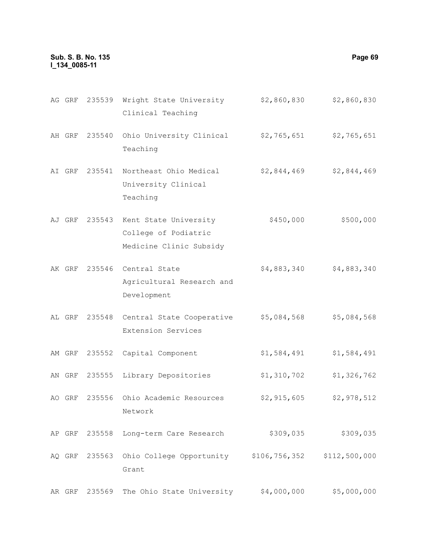#### **Sub. S. B. No. 135 Page 69 l\_134\_0085-11**

AG GRF 235539 Wright State University \$2,860,830 \$2,860,830 Clinical Teaching AH GRF 235540 Ohio University Clinical \$2,765,651 \$2,765,651 Teaching AI GRF 235541 Northeast Ohio Medical University Clinical Teaching \$2,844,469 \$2,844,469 AJ GRF 235543 Kent State University College of Podiatric Medicine Clinic Subsidy \$450,000 \$500,000 AK GRF 235546 Central State Agricultural Research and Development \$4,883,340 \$4,883,340 AL GRF 235548 Central State Cooperative Extension Services \$5,084,568 \$5,084,568 AM GRF 235552 Capital Component \$1,584,491 \$1,584,491 AN GRF 235555 Library Depositories \$1,310,702 \$1,326,762 AO GRF 235556 Ohio Academic Resources Network \$2,915,605 \$2,978,512 AP GRF 235558 Long-term Care Research \$309,035 \$309,035 AQ GRF 235563 Ohio College Opportunity \$106,756,352 \$112,500,000 Grant

AR GRF 235569 The Ohio State University  $$4,000,000$  \$5,000,000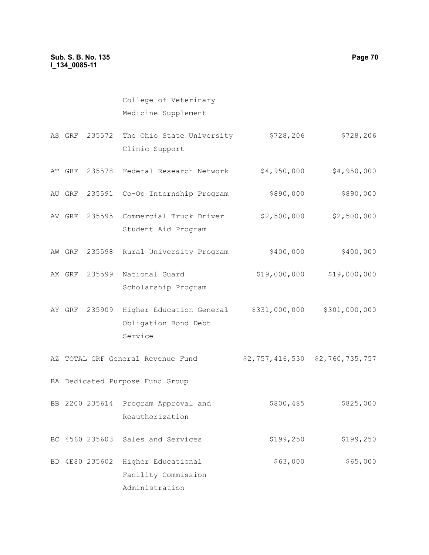# College of Veterinary Medicine Supplement

- AS GRF 235572 The Ohio State University \$728,206 \$728,206 Clinic Support
- AT GRF 235578 Federal Research Network  $$4,950,000$  \$4,950,000
- AU GRF 235591 Co-Op Internship Program \$890,000 \$890,000
- AV GRF 235595 Commercial Truck Driver Student Aid Program \$2,500,000 \$2,500,000
- AW GRF 235598 Rural University Program  $$400,000$  \$400,000
- AX GRF 235599 National Guard Scholarship Program \$19,000,000 \$19,000,000
- AY GRF 235909 Higher Education General \$331,000,000 \$301,000,000 Obligation Bond Debt Service
- AZ TOTAL GRF General Revenue Fund \$2,757,416,530 \$2,760,735,757
- BA Dedicated Purpose Fund Group
- BB 2200 235614 Program Approval and Reauthorization \$800,485 \$825,000
- BC 4560 235603 Sales and Services \$199,250 \$199,250

\$63,000 \$65,000

BD 4E80 235602 Higher Educational Facility Commission Administration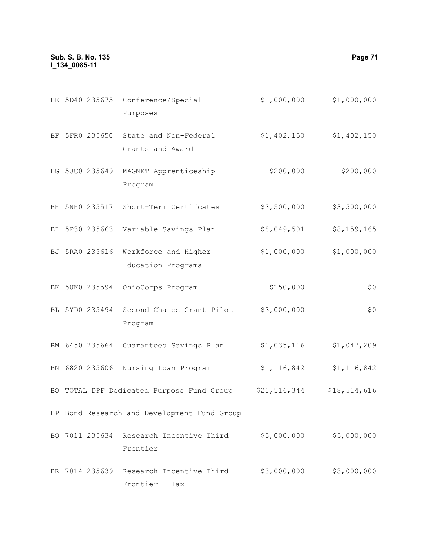### **Sub. S. B. No. 135 Page 71 l\_134\_0085-11**

|  | BE 5D40 235675 Conference/Special | \$1,000,000 | \$1,000,000 |
|--|-----------------------------------|-------------|-------------|
|  | Purposes                          |             |             |
|  |                                   |             |             |

- BF 5FR0 235650 State and Non-Federal \$1,402,150 \$1,402,150 Grants and Award
- BG 5JC0 235649 MAGNET Apprenticeship Program \$200,000 \$200,000
- BH 5NH0 235517 Short-Term Certifcates \$3,500,000 \$3,500,000
- BI 5P30 235663 Variable Savings Plan \$8,049,501 \$8,159,165
- BJ 5RA0 235616 Workforce and Higher Education Programs \$1,000,000 \$1,000,000
- BK 5UK0 235594 OhioCorps Program  $$150,000$  \$0
- BL 5YD0 235494 Second Chance Grant <del>Pilot</del> \$3,000,000 \$0 Program
- BM 6450 235664 Guaranteed Savings Plan \$1,035,116 \$1,047,209
- BN 6820 235606 Nursing Loan Program \$1,116,842 \$1,116,842
- BO TOTAL DPF Dedicated Purpose Fund Group \$21,516,344 \$18,514,616
- BP Bond Research and Development Fund Group
- BQ 7011 235634 Research Incentive Third \$5,000,000 \$5,000,000 Frontier
- BR 7014 235639 Research Incentive Third \$3,000,000 \$3,000,000Frontier - Tax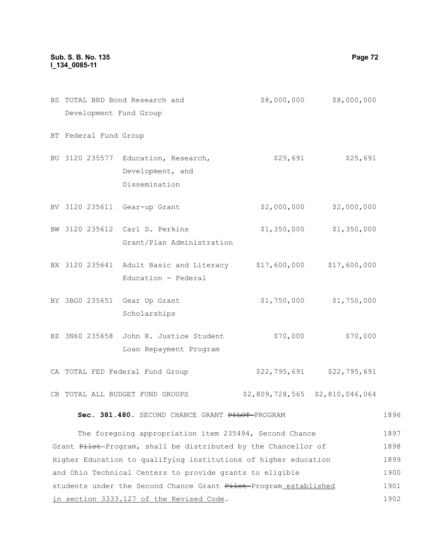# **Sub. S. B. No. 135 Page 72 l\_134\_0085-11**

|                        | BS TOTAL BRD Bond Research and                       | \$8,000,000  | \$8,000,000                     |  |  |  |
|------------------------|------------------------------------------------------|--------------|---------------------------------|--|--|--|
| Development Fund Group |                                                      |              |                                 |  |  |  |
| BT Federal Fund Group  |                                                      |              |                                 |  |  |  |
|                        | BU 3120 235577 Education, Research,                  | \$25,691     | \$25,691                        |  |  |  |
|                        | Development, and                                     |              |                                 |  |  |  |
|                        | Dissemination                                        |              |                                 |  |  |  |
|                        | BV 3120 235611 Gear-up Grant                         | \$2,000,000  | \$2,000,000                     |  |  |  |
|                        | BW 3120 235612 Carl D. Perkins                       | \$1,350,000  | \$1,350,000                     |  |  |  |
|                        | Grant/Plan Administration                            |              |                                 |  |  |  |
|                        | BX 3120 235641 Adult Basic and Literacy \$17,600,000 |              | \$17,600,000                    |  |  |  |
|                        | Education - Federal                                  |              |                                 |  |  |  |
|                        | BY 3BG0 235651 Gear Up Grant                         | \$1,750,000  | \$1,750,000                     |  |  |  |
|                        | Scholarships                                         |              |                                 |  |  |  |
| BZ 3N60 235658         | John R. Justice Student                              | \$70,000     | \$70,000                        |  |  |  |
|                        | Loan Repayment Program                               |              |                                 |  |  |  |
|                        | CA TOTAL FED Federal Fund Group                      | \$22,795,691 | \$22,795,691                    |  |  |  |
|                        | CB TOTAL ALL BUDGET FUND GROUPS                      |              | \$2,809,728,565 \$2,810,046,064 |  |  |  |

#### Sec. 381.480. SECOND CHANCE GRANT PHLOT-PROGRAM 1896

The foregoing appropriation item 235494, Second Chance Grant Pilot-Program, shall be distributed by the Chancellor of Higher Education to qualifying institutions of higher education and Ohio Technical Centers to provide grants to eligible students under the Second Chance Grant Pilot-Program established in section 3333.127 of the Revised Code. 1897 1898 1899 1900 1901 1902